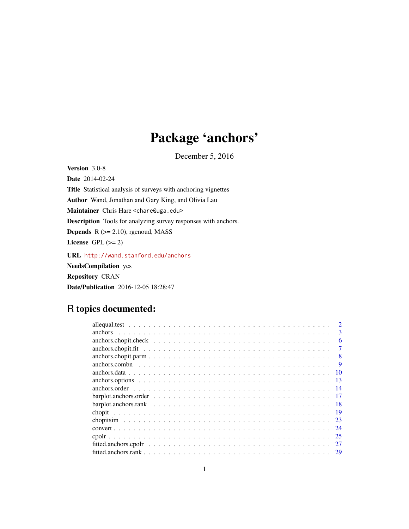# Package 'anchors'

December 5, 2016

<span id="page-0-0"></span>Version 3.0-8 Date 2014-02-24 Title Statistical analysis of surveys with anchoring vignettes Author Wand, Jonathan and Gary King, and Olivia Lau Maintainer Chris Hare <chare@uga.edu> Description Tools for analyzing survey responses with anchors. **Depends**  $R$  ( $>= 2.10$ ), rgenoud, MASS License GPL  $(>= 2)$ URL <http://wand.stanford.edu/anchors> NeedsCompilation yes Repository CRAN

Date/Publication 2016-12-05 18:28:47

# R topics documented: allequal.test . . . . . . . . . . . . . . . . . . . . . . . . . . . . . . . . . . . . . . . . . [2](#page-1-0) anchors . . . . . . . . . . . . . . . . . . . . . . . . . . . . . . . . . . . . . . . . . . . [3](#page-2-0) anchors.chopit.check . . . . . . . . . . . . . . . . . . . . . . . . . . . . . . . . . . . . [6](#page-5-0) anchors.chopit.fit . . . . . . . . . . . . . . . . . . . . . . . . . . . . . . . . . . . . . . [7](#page-6-0) anchors.chopit.parm . . . . . . . . . . . . . . . . . . . . . . . . . . . . . . . . . . . . . [8](#page-7-0) anchors.combn . . . . . . . . . . . . . . . . . . . . . . . . . . . . . . . . . . . . . . . [9](#page-8-0) anchors.data . . . . . . . . . . . . . . . . . . . . . . . . . . . . . . . . . . . . . . . . . [10](#page-9-0) anchors.options . . . . . . . . . . . . . . . . . . . . . . . . . . . . . . . . . . . . . . . [13](#page-12-0) anchors.order . . . . . . . . . . . . . . . . . . . . . . . . . . . . . . . . . . . . . . . . [14](#page-13-0) barplot.anchors.order . . . . . . . . . . . . . . . . . . . . . . . . . . . . . . . . . . . . [17](#page-16-0) barplot.anchors.rank . . . . . . . . . . . . . . . . . . . . . . . . . . . . . . . . . . . . [18](#page-17-0) chopit . . . . . . . . . . . . . . . . . . . . . . . . . . . . . . . . . . . . . . . . . . . . [19](#page-18-0)

chopitsim . . . . . . . . . . . . . . . . . . . . . . . . . . . . . . . . . . . . . . . . . . [23](#page-22-0) convert . . . . . . . . . . . . . . . . . . . . . . . . . . . . . . . . . . . . . . . . . . . . [24](#page-23-0) cpolr . . . . . . . . . . . . . . . . . . . . . . . . . . . . . . . . . . . . . . . . . . . . . [25](#page-24-0) fitted.anchors.cpolr . . . . . . . . . . . . . . . . . . . . . . . . . . . . . . . . . . . . . [27](#page-26-0) fitted.anchors.rank . . . . . . . . . . . . . . . . . . . . . . . . . . . . . . . . . . . . . . [29](#page-28-0)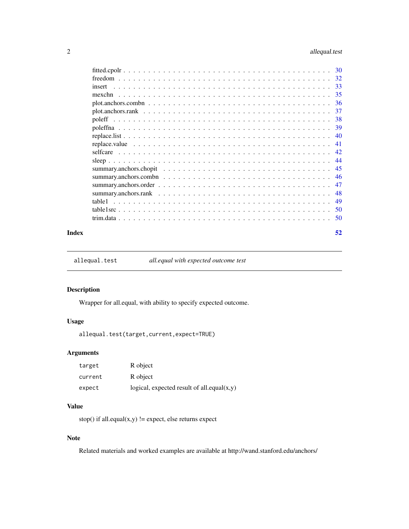<span id="page-1-0"></span>

|        | 30 |
|--------|----|
|        | 32 |
| insert | 33 |
|        | 35 |
|        | 36 |
|        | 37 |
|        |    |
|        |    |
|        | 40 |
|        | 41 |
|        | 42 |
|        | 44 |
|        | 45 |
|        | 46 |
|        | 47 |
|        | 48 |
|        | 49 |
|        | 50 |
|        | 50 |
|        |    |

#### **Index** [52](#page-51-0)

allequal.test *all.equal with expected outcome test*

# Description

Wrapper for all.equal, with ability to specify expected outcome.

# Usage

```
allequal.test(target,current,expect=TRUE)
```
# Arguments

| target  | R object                                      |
|---------|-----------------------------------------------|
| current | R object                                      |
| expect  | logical, expected result of all.equal $(x,y)$ |

# Value

stop() if all.equal $(x,y)$  != expect, else returns expect

# Note

Related materials and worked examples are available at http://wand.stanford.edu/anchors/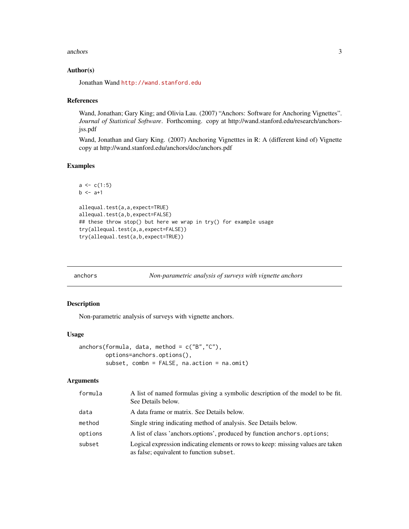#### <span id="page-2-0"></span>anchors 3

# Author(s)

Jonathan Wand <http://wand.stanford.edu>

#### References

Wand, Jonathan; Gary King; and Olivia Lau. (2007) "Anchors: Software for Anchoring Vignettes". *Journal of Statistical Software*. Forthcoming. copy at http://wand.stanford.edu/research/anchorsjss.pdf

Wand, Jonathan and Gary King. (2007) Anchoring Vignetttes in R: A (different kind of) Vignette copy at http://wand.stanford.edu/anchors/doc/anchors.pdf

# Examples

```
a \leftarrow c(1:5)b \leq -a+1allequal.test(a,a,expect=TRUE)
allequal.test(a,b,expect=FALSE)
## these throw stop() but here we wrap in try() for example usage
try(allequal.test(a,a,expect=FALSE))
try(allequal.test(a,b,expect=TRUE))
```
<span id="page-2-1"></span>anchors *Non-parametric analysis of surveys with vignette anchors*

#### <span id="page-2-2"></span>Description

Non-parametric analysis of surveys with vignette anchors.

#### Usage

```
anchors(formula, data, method = c("B","C"),
       options=anchors.options(),
       subset, combn = FALSE, na.action = na.omit)
```
#### Arguments

| formula | A list of named formulas giving a symbolic description of the model to be fit.<br>See Details below.                         |
|---------|------------------------------------------------------------------------------------------------------------------------------|
| data    | A data frame or matrix. See Details below.                                                                                   |
| method  | Single string indicating method of analysis. See Details below.                                                              |
| options | A list of class 'anchors.options', produced by function anchors.options;                                                     |
| subset  | Logical expression indicating elements or rows to keep: missing values are taken<br>as false; equivalent to function subset. |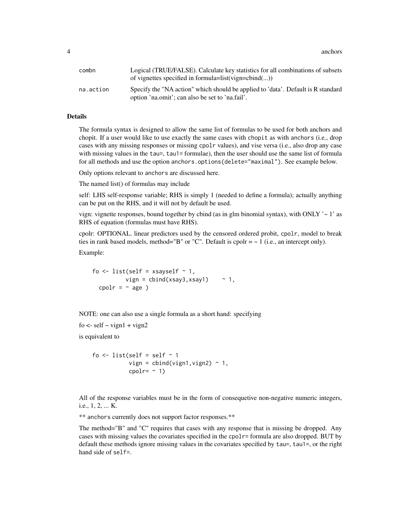**4** anchors **and** anchors **and** anchors **and** anchors **and** and **a** and **a** and **a** and **a** and **a** and **a** and **a** and **a** and **a** and **a** and **a** and **a** and **a** and **a** and **a** and **a** and **a** and **a** and **a** and **a** an

| combn     | Logical (TRUE/FALSE). Calculate key statistics for all combinations of subsets<br>of vignettes specified in formula=list(vign=cbind $()$ ) |
|-----------|--------------------------------------------------------------------------------------------------------------------------------------------|
| na.action | Specify the "NA action" which should be applied to 'data'. Default is R standard<br>option 'na.omit'; can also be set to 'na.fail'.        |

#### Details

The formula syntax is designed to allow the same list of formulas to be used for both anchors and chopit. If a user would like to use exactly the same cases with chopit as with anchors (i.e., drop cases with any missing responses or missing cpolr values), and vise versa (i.e., also drop any case with missing values in the tau=, tau1= formulae), then the user should use the same list of formula for all methods and use the option anchors.options(delete="maximal"). See example below.

Only options relevant to anchors are discussed here.

The named list() of formulas may include

self: LHS self-response variable; RHS is simply 1 (needed to define a formula); actually anything can be put on the RHS, and it will not by default be used.

vign: vignette responses, bound together by cbind (as in glm binomial syntax), with ONLY  $\sim$  1' as RHS of equation (formulas must have RHS).

cpolr: OPTIONAL. linear predictors used by the censored ordered probit, cpolr, model to break ties in rank based models, method="B" or "C". Default is cpolr  $= \sim 1$  (i.e., an intercept only).

Example:

fo  $\le$  list(self = xsayself  $\sim$  1, vign =  $cbind(xsay3,xsay1)$  ~ 1, cpolr =  $~^{\sim}$  age )

NOTE: one can also use a single formula as a short hand: specifying

```
fo \le- self \sim vign1 + vign2
```
is equivalent to

fo  $\le$  list(self = self  $\sim$  1 vign =  $cbind(vign1, vign2) \sim 1$ , cpolr=  $~1)$ 

All of the response variables must be in the form of consequetive non-negative numeric integers, i.e., 1, 2, ... K.

\*\* anchors currently does not support factor responses.\*\*

The method="B" and "C" requires that cases with any response that is missing be dropped. Any cases with missing values the covariates specified in the cpolr= formula are also dropped. BUT by default these methods ignore missing values in the covariates specified by tau=, tau1=, or the right hand side of self=.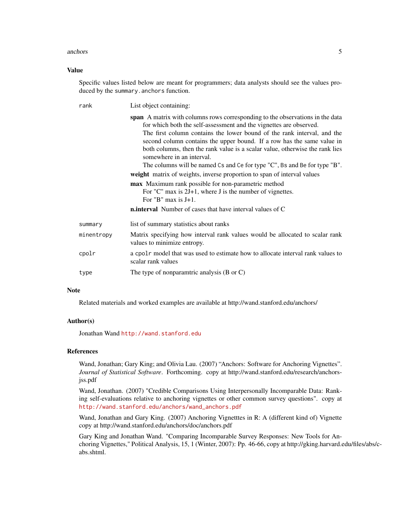#### anchors 5

#### Value

Specific values listed below are meant for programmers; data analysts should see the values produced by the summary.anchors function.

| rank                                                          | List object containing:                                                                                                                                                                                                                                                                                                                                                                                                                                                                            |  |  |  |  |  |
|---------------------------------------------------------------|----------------------------------------------------------------------------------------------------------------------------------------------------------------------------------------------------------------------------------------------------------------------------------------------------------------------------------------------------------------------------------------------------------------------------------------------------------------------------------------------------|--|--|--|--|--|
|                                                               | span A matrix with columns rows corresponding to the observations in the data<br>for which both the self-assessment and the vignettes are observed.<br>The first column contains the lower bound of the rank interval, and the<br>second column contains the upper bound. If a row has the same value in<br>both columns, then the rank value is a scalar value, otherwise the rank lies<br>somewhere in an interval.<br>The columns will be named Cs and Ce for type "C", Bs and Be for type "B". |  |  |  |  |  |
|                                                               | weight matrix of weights, inverse proportion to span of interval values                                                                                                                                                                                                                                                                                                                                                                                                                            |  |  |  |  |  |
|                                                               | max Maximum rank possible for non-parametric method<br>For "C" max is $2J+1$ , where J is the number of vignettes.<br>For "B" max is $J+1$ .                                                                                                                                                                                                                                                                                                                                                       |  |  |  |  |  |
|                                                               | <b>n.interval</b> Number of cases that have interval values of C                                                                                                                                                                                                                                                                                                                                                                                                                                   |  |  |  |  |  |
| summary                                                       | list of summary statistics about ranks                                                                                                                                                                                                                                                                                                                                                                                                                                                             |  |  |  |  |  |
| minentropy                                                    | Matrix specifying how interval rank values would be allocated to scalar rank<br>values to minimize entropy.                                                                                                                                                                                                                                                                                                                                                                                        |  |  |  |  |  |
| cpolr                                                         | a cpolr model that was used to estimate how to allocate interval rank values to<br>scalar rank values                                                                                                                                                                                                                                                                                                                                                                                              |  |  |  |  |  |
| The type of nonparamtric analysis $(B \text{ or } C)$<br>type |                                                                                                                                                                                                                                                                                                                                                                                                                                                                                                    |  |  |  |  |  |

# Note

Related materials and worked examples are available at http://wand.stanford.edu/anchors/

#### Author(s)

Jonathan Wand <http://wand.stanford.edu>

#### References

Wand, Jonathan; Gary King; and Olivia Lau. (2007) "Anchors: Software for Anchoring Vignettes". *Journal of Statistical Software*. Forthcoming. copy at http://wand.stanford.edu/research/anchorsjss.pdf

Wand, Jonathan. (2007) "Credible Comparisons Using Interpersonally Incomparable Data: Ranking self-evaluations relative to anchoring vignettes or other common survey questions". copy at [http://wand.stanford.edu/anchors/wand\\_anchors.pdf](http://wand.stanford.edu/anchors/wand_anchors.pdf)

Wand, Jonathan and Gary King. (2007) Anchoring Vignetttes in R: A (different kind of) Vignette copy at http://wand.stanford.edu/anchors/doc/anchors.pdf

Gary King and Jonathan Wand. "Comparing Incomparable Survey Responses: New Tools for Anchoring Vignettes," Political Analysis, 15, 1 (Winter, 2007): Pp. 46-66, copy at http://gking.harvard.edu/files/abs/cabs.shtml.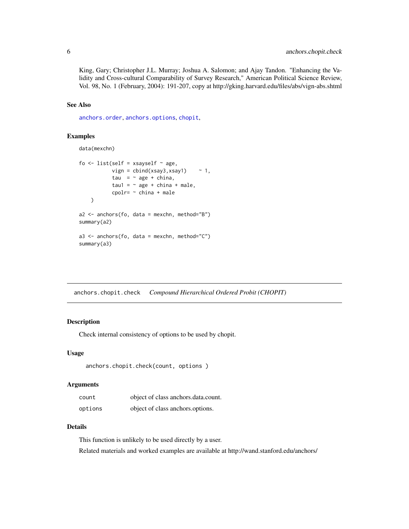King, Gary; Christopher J.L. Murray; Joshua A. Salomon; and Ajay Tandon. "Enhancing the Validity and Cross-cultural Comparability of Survey Research," American Political Science Review, Vol. 98, No. 1 (February, 2004): 191-207, copy at http://gking.harvard.edu/files/abs/vign-abs.shtml

# See Also

[anchors.order](#page-13-1), [anchors.options](#page-12-1), [chopit](#page-18-1),

# Examples

data(mexchn)

```
fo \le list(self = xsayself \sim age,
           vign = cbind(xsay3,xsay1) ~ 1,
            tau = \sim age + china,
            tau1 = \sim age + china + male,
            cpolr= ~ china + male
    \mathcal{L}a2 \le - anchors(fo, data = mexchn, method="B")
summary(a2)
a3 \le - anchors(fo, data = mexchn, method="C")
summary(a3)
```
anchors.chopit.check *Compound Hierarchical Ordered Probit (CHOPIT)*

# Description

Check internal consistency of options to be used by chopit.

# Usage

```
anchors.chopit.check(count, options )
```
#### Arguments

| count   | object of class anchors.data.count. |
|---------|-------------------------------------|
| options | object of class anchors options.    |

# Details

This function is unlikely to be used directly by a user. Related materials and worked examples are available at http://wand.stanford.edu/anchors/

<span id="page-5-0"></span>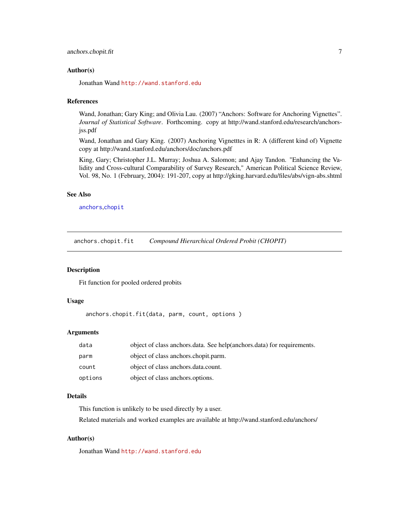# <span id="page-6-0"></span>Author(s)

Jonathan Wand <http://wand.stanford.edu>

#### References

Wand, Jonathan; Gary King; and Olivia Lau. (2007) "Anchors: Software for Anchoring Vignettes". *Journal of Statistical Software*. Forthcoming. copy at http://wand.stanford.edu/research/anchorsjss.pdf

Wand, Jonathan and Gary King. (2007) Anchoring Vignetttes in R: A (different kind of) Vignette copy at http://wand.stanford.edu/anchors/doc/anchors.pdf

King, Gary; Christopher J.L. Murray; Joshua A. Salomon; and Ajay Tandon. "Enhancing the Validity and Cross-cultural Comparability of Survey Research," American Political Science Review, Vol. 98, No. 1 (February, 2004): 191-207, copy at http://gking.harvard.edu/files/abs/vign-abs.shtml

# See Also

[anchors](#page-2-1),[chopit](#page-18-1)

anchors.chopit.fit *Compound Hierarchical Ordered Probit (CHOPIT)*

#### Description

Fit function for pooled ordered probits

# Usage

anchors.chopit.fit(data, parm, count, options )

#### Arguments

| data    | object of class anchors data. See help(anchors data) for requirements. |
|---------|------------------------------------------------------------------------|
| parm    | object of class anchors.chopit.parm.                                   |
| count   | object of class anchors.data.count.                                    |
| options | object of class anchors options.                                       |

# Details

This function is unlikely to be used directly by a user. Related materials and worked examples are available at http://wand.stanford.edu/anchors/

#### Author(s)

Jonathan Wand <http://wand.stanford.edu>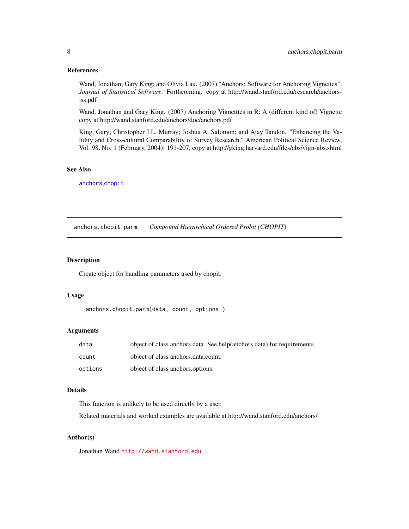#### <span id="page-7-0"></span>References

Wand, Jonathan; Gary King; and Olivia Lau. (2007) "Anchors: Software for Anchoring Vignettes". *Journal of Statistical Software*. Forthcoming. copy at http://wand.stanford.edu/research/anchorsjss.pdf

Wand, Jonathan and Gary King. (2007) Anchoring Vignetttes in R: A (different kind of) Vignette copy at http://wand.stanford.edu/anchors/doc/anchors.pdf

King, Gary; Christopher J.L. Murray; Joshua A. Salomon; and Ajay Tandon. "Enhancing the Validity and Cross-cultural Comparability of Survey Research," American Political Science Review, Vol. 98, No. 1 (February, 2004): 191-207, copy at http://gking.harvard.edu/files/abs/vign-abs.shtml

# See Also

[anchors](#page-2-1),[chopit](#page-18-1)

anchors.chopit.parm *Compound Hierarchical Ordered Probit (CHOPIT)*

# Description

Create object for handling parameters used by chopit.

#### Usage

```
anchors.chopit.parm(data, count, options )
```
# Arguments

| data    | object of class anchors. data. See help(anchors. data) for requirements. |
|---------|--------------------------------------------------------------------------|
| count   | object of class anchors.data.count.                                      |
| options | object of class anchors options.                                         |

# Details

This function is unlikely to be used directly by a user.

Related materials and worked examples are available at http://wand.stanford.edu/anchors/

# Author(s)

Jonathan Wand <http://wand.stanford.edu>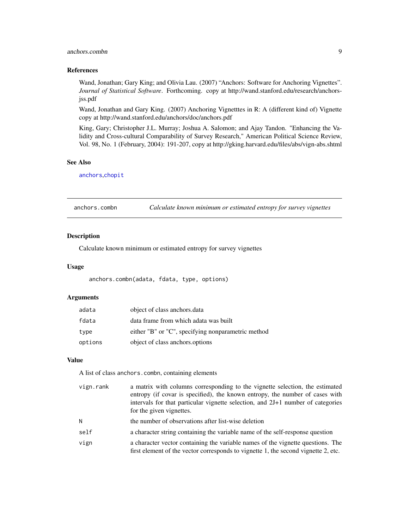# <span id="page-8-0"></span>anchors.combn 9

# References

Wand, Jonathan; Gary King; and Olivia Lau. (2007) "Anchors: Software for Anchoring Vignettes". *Journal of Statistical Software*. Forthcoming. copy at http://wand.stanford.edu/research/anchorsjss.pdf

Wand, Jonathan and Gary King. (2007) Anchoring Vignetttes in R: A (different kind of) Vignette copy at http://wand.stanford.edu/anchors/doc/anchors.pdf

King, Gary; Christopher J.L. Murray; Joshua A. Salomon; and Ajay Tandon. "Enhancing the Validity and Cross-cultural Comparability of Survey Research," American Political Science Review, Vol. 98, No. 1 (February, 2004): 191-207, copy at http://gking.harvard.edu/files/abs/vign-abs.shtml

#### See Also

[anchors](#page-2-1),[chopit](#page-18-1)

<span id="page-8-1"></span>anchors.combn *Calculate known minimum or estimated entropy for survey vignettes*

# Description

Calculate known minimum or estimated entropy for survey vignettes

#### Usage

anchors.combn(adata, fdata, type, options)

# Arguments

| adata   | object of class anchors.data                       |
|---------|----------------------------------------------------|
| fdata   | data frame from which adata was built              |
| type    | either "B" or "C", specifying nonparametric method |
| options | object of class anchors options                    |

#### Value

A list of class anchors.combn, containing elements

| vign.rank | a matrix with columns corresponding to the vignette selection, the estimated<br>entropy (if covar is specified), the known entropy, the number of cases with<br>intervals for that particular vignette selection, and 2J+1 number of categories<br>for the given vignettes. |
|-----------|-----------------------------------------------------------------------------------------------------------------------------------------------------------------------------------------------------------------------------------------------------------------------------|
| N         | the number of observations after list-wise deletion                                                                                                                                                                                                                         |
| self      | a character string containing the variable name of the self-response question                                                                                                                                                                                               |
| vign      | a character vector containing the variable names of the vignette questions. The<br>first element of the vector corresponds to vignette 1, the second vignette 2, etc.                                                                                                       |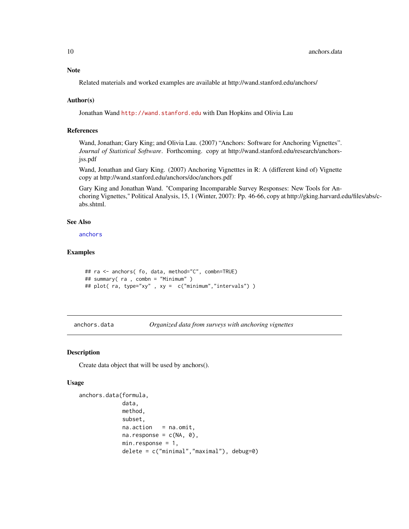# <span id="page-9-0"></span>Note

Related materials and worked examples are available at http://wand.stanford.edu/anchors/

# Author(s)

Jonathan Wand <http://wand.stanford.edu> with Dan Hopkins and Olivia Lau

# References

Wand, Jonathan; Gary King; and Olivia Lau. (2007) "Anchors: Software for Anchoring Vignettes". *Journal of Statistical Software*. Forthcoming. copy at http://wand.stanford.edu/research/anchorsjss.pdf

Wand, Jonathan and Gary King. (2007) Anchoring Vignetttes in R: A (different kind of) Vignette copy at http://wand.stanford.edu/anchors/doc/anchors.pdf

Gary King and Jonathan Wand. "Comparing Incomparable Survey Responses: New Tools for Anchoring Vignettes," Political Analysis, 15, 1 (Winter, 2007): Pp. 46-66, copy at http://gking.harvard.edu/files/abs/cabs.shtml.

#### See Also

[anchors](#page-2-1)

#### Examples

```
## ra <- anchors( fo, data, method="C", combn=TRUE)
## summary( ra , combn = "Minimum" )
## plot( ra, type="xy", xy = c("minimum","intervals"))
```
<span id="page-9-1"></span>anchors.data *Organized data from surveys with anchoring vignettes*

#### Description

Create data object that will be used by anchors().

#### Usage

```
anchors.data(formula,
             data,
             method,
             subset,
             na.action = na.omit,
             na.response = c(NA, \theta),
             min.response = 1,
             delete = c("minimal","maximal"), debug=0)
```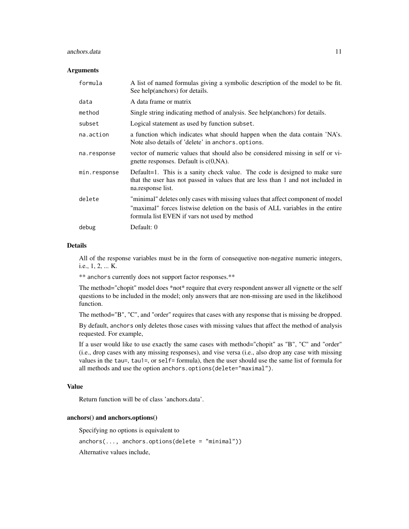#### anchors.data 11

#### **Arguments**

| formula      | A list of named formulas giving a symbolic description of the model to be fit.<br>See help(anchors) for details.                                                                                                  |
|--------------|-------------------------------------------------------------------------------------------------------------------------------------------------------------------------------------------------------------------|
| data         | A data frame or matrix                                                                                                                                                                                            |
| method       | Single string indicating method of analysis. See help(anchors) for details.                                                                                                                                       |
| subset       | Logical statement as used by function subset.                                                                                                                                                                     |
| na.action    | a function which indicates what should happen when the data contain 'NA's.<br>Note also details of 'delete' in anchors.options.                                                                                   |
| na.response  | vector of numeric values that should also be considered missing in self or vi-<br>gnette responses. Default is $c(0, NA)$ .                                                                                       |
| min.response | Default=1. This is a sanity check value. The code is designed to make sure<br>that the user has not passed in values that are less than 1 and not included in<br>na.response list.                                |
| delete       | "minimal" deletes only cases with missing values that affect component of model<br>"maximal" forces listwise deletion on the basis of ALL variables in the entire<br>formula list EVEN if vars not used by method |
| debug        | Default: 0                                                                                                                                                                                                        |

#### Details

All of the response variables must be in the form of consequetive non-negative numeric integers, i.e., 1, 2, ... K.

\*\* anchors currently does not support factor responses.\*\*

The method="chopit" model does \*not\* require that every respondent answer all vignette or the self questions to be included in the model; only answers that are non-missing are used in the likelihood function.

The method="B", "C", and "order" requires that cases with any response that is missing be dropped.

By default, anchors only deletes those cases with missing values that affect the method of analysis requested. For example,

If a user would like to use exactly the same cases with method="chopit" as "B", "C" and "order" (i.e., drop cases with any missing responses), and vise versa (i.e., also drop any case with missing values in the tau=, tau1=, or self= formula), then the user should use the same list of formula for all methods and use the option anchors.options(delete="maximal").

# Value

Return function will be of class 'anchors.data'.

#### anchors() and anchors.options()

Specifying no options is equivalent to

 $anchors(..., anchors. options(delete = "minimal"))$ 

Alternative values include,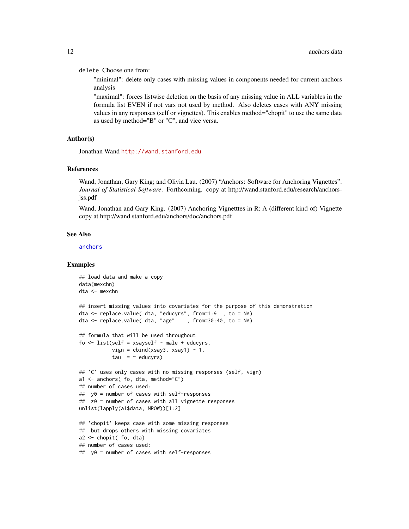<span id="page-11-0"></span>delete Choose one from:

"minimal": delete only cases with missing values in components needed for current anchors analysis

"maximal": forces listwise deletion on the basis of any missing value in ALL variables in the formula list EVEN if not vars not used by method. Also deletes cases with ANY missing values in any responses (self or vignettes). This enables method="chopit" to use the same data as used by method="B" or "C", and vice versa.

#### Author(s)

Jonathan Wand <http://wand.stanford.edu>

#### References

Wand, Jonathan; Gary King; and Olivia Lau. (2007) "Anchors: Software for Anchoring Vignettes". *Journal of Statistical Software*. Forthcoming. copy at http://wand.stanford.edu/research/anchorsjss.pdf

Wand, Jonathan and Gary King. (2007) Anchoring Vignetttes in R: A (different kind of) Vignette copy at http://wand.stanford.edu/anchors/doc/anchors.pdf

#### See Also

[anchors](#page-2-1)

#### Examples

```
## load data and make a copy
data(mexchn)
dta <- mexchn
## insert missing values into covariates for the purpose of this demonstration
dta <- replace.value( dta, "educyrs", from=1:9 , to = NA)
dta <- replace.value( dta, "age" , from=30:40, to = NA)
## formula that will be used throughout
fo \le list(self = xsayself \sim male + educyrs,
           vign = cbind(xsay3, xsay1) \sim 1,
           tau = \sim educyrs)
## 'C' uses only cases with no missing responses (self, vign)
a1 <- anchors( fo, dta, method="C")
## number of cases used:
## y0 = number of cases with self-responses
## z0 = number of cases with all vignette responses
unlist(lapply(a1$data, NROW))[1:2]
## 'chopit' keeps case with some missing responses
## but drops others with missing covariates
a2 <- chopit( fo, dta)
## number of cases used:
## y0 = number of cases with self-responses
```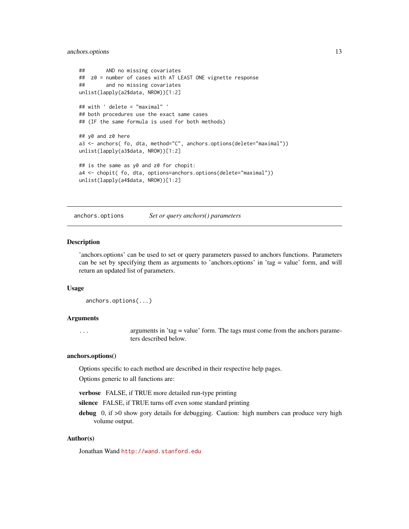# <span id="page-12-0"></span>anchors.options 13

```
## AND no missing covariates
## z0 = number of cases with AT LEAST ONE vignette response
## and no missing covariates
unlist(lapply(a2$data, NROW))[1:2]
## with ' delete = "maximal" '
## both procedures use the exact same cases
## (IF the same formula is used for both methods)
## y0 and z0 here
a3 <- anchors( fo, dta, method="C", anchors.options(delete="maximal"))
unlist(lapply(a3$data, NROW))[1:2]
## is the same as y0 and z0 for chopit:
a4 <- chopit( fo, dta, options=anchors.options(delete="maximal"))
unlist(lapply(a4$data, NROW))[1:2]
```
<span id="page-12-1"></span>anchors.options *Set or query anchors() parameters*

# **Description**

'anchors.options' can be used to set or query parameters passed to anchors functions. Parameters can be set by specifying them as arguments to 'anchors.options' in 'tag = value' form, and will return an updated list of parameters.

#### Usage

```
anchors.options(...)
```
#### **Arguments**

... arguments in 'tag = value' form. The tags must come from the anchors parameters described below.

#### anchors.options()

Options specific to each method are described in their respective help pages.

Options generic to all functions are:

verbose FALSE, if TRUE more detailed run-type printing

silence FALSE, if TRUE turns off even some standard printing

debug 0, if >0 show gory details for debugging. Caution: high numbers can produce very high volume output.

#### Author(s)

Jonathan Wand <http://wand.stanford.edu>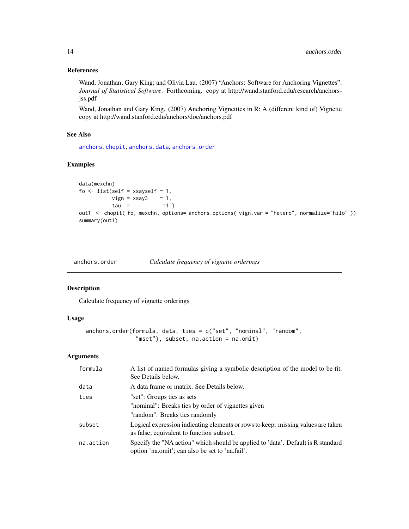# <span id="page-13-0"></span>References

Wand, Jonathan; Gary King; and Olivia Lau. (2007) "Anchors: Software for Anchoring Vignettes". *Journal of Statistical Software*. Forthcoming. copy at http://wand.stanford.edu/research/anchorsjss.pdf

Wand, Jonathan and Gary King. (2007) Anchoring Vignetttes in R: A (different kind of) Vignette copy at http://wand.stanford.edu/anchors/doc/anchors.pdf

# See Also

[anchors](#page-2-1), [chopit](#page-18-1), [anchors.data](#page-9-1), [anchors.order](#page-13-1)

# Examples

```
data(mexchn)
fo \le list(self = xsayself \sim 1,
           vign = xsay3 ~ 1,
           tau = ~1)out1 <- chopit( fo, mexchn, options= anchors.options( vign.var = "hetero", normalize="hilo" ))
summary(out1)
```
<span id="page-13-1"></span>

| anchors.order | Calculate frequency of vignette orderings |  |  |  |  |
|---------------|-------------------------------------------|--|--|--|--|
|               |                                           |  |  |  |  |

## Description

Calculate frequency of vignette orderings

#### Usage

```
anchors.order(formula, data, ties = c("set", "nominal", "random",
               "mset"), subset, na.action = na.omit)
```
# Arguments

| formula   | A list of named formulas giving a symbolic description of the model to be fit.<br>See Details below.                                |
|-----------|-------------------------------------------------------------------------------------------------------------------------------------|
| data      | A data frame or matrix. See Details below.                                                                                          |
| ties      | "set": Groups ties as sets                                                                                                          |
|           | "nominal": Breaks ties by order of vignettes given                                                                                  |
|           | "random": Breaks ties randomly                                                                                                      |
| subset    | Logical expression indicating elements or rows to keep: missing values are taken<br>as false; equivalent to function subset.        |
| na.action | Specify the "NA action" which should be applied to 'data'. Default is R standard<br>option 'na.omit'; can also be set to 'na.fail'. |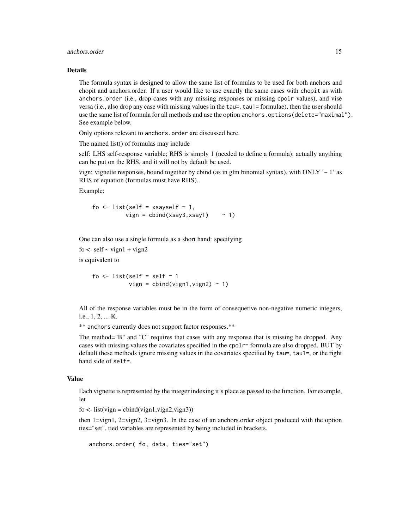#### anchors.order 15

#### Details

The formula syntax is designed to allow the same list of formulas to be used for both anchors and chopit and anchors.order. If a user would like to use exactly the same cases with chopit as with anchors.order (i.e., drop cases with any missing responses or missing cpolr values), and vise versa (i.e., also drop any case with missing values in the tau=, tau1= formulae), then the user should use the same list of formula for all methods and use the option anchors.options(delete="maximal"). See example below.

Only options relevant to anchors.order are discussed here.

The named list() of formulas may include

self: LHS self-response variable; RHS is simply 1 (needed to define a formula); actually anything can be put on the RHS, and it will not by default be used.

vign: vignette responses, bound together by cbind (as in glm binomial syntax), with ONLY  $\sim$  1' as RHS of equation (formulas must have RHS).

Example:

$$
fo \leftarrow list(self = xsayself \sim 1, \\
 \text{vign = chind(xsay3, xsay1)} \sim 1)
$$

One can also use a single formula as a short hand: specifying

fo  $\le$ - self  $\sim$  vign1 + vign2

is equivalent to

fo  $\le$  list(self = self  $\sim$  1 vign =  $cbind(vign1, vign2)$  ~ 1)

All of the response variables must be in the form of consequetive non-negative numeric integers, i.e., 1, 2, ... K.

\*\* anchors currently does not support factor responses.\*\*

The method="B" and "C" requires that cases with any response that is missing be dropped. Any cases with missing values the covariates specified in the cpolr= formula are also dropped. BUT by default these methods ignore missing values in the covariates specified by tau=, tau1=, or the right hand side of self=.

#### Value

Each vignette is represented by the integer indexing it's place as passed to the function. For example, let

 $f$ o <- list(vign = cbind(vign1,vign2,vign3))

then 1=vign1, 2=vign2, 3=vign3. In the case of an anchors.order object produced with the option ties="set", tied variables are represented by being included in brackets.

```
anchors.order( fo, data, ties="set")
```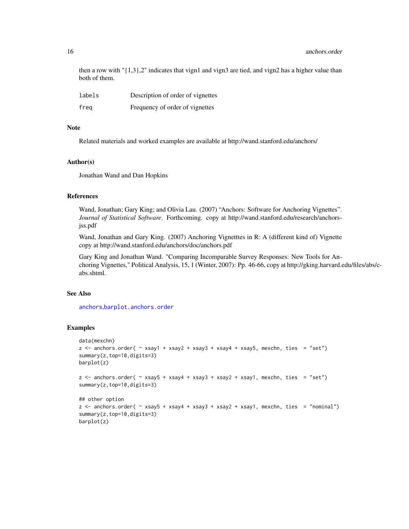<span id="page-15-0"></span>then a row with " $\{1,3\}$ ,2" indicates that vign1 and vign3 are tied, and vign2 has a higher value than both of them.

| labels | Description of order of vignettes |
|--------|-----------------------------------|
| freg   | Frequency of order of vignettes   |

#### **Note**

Related materials and worked examples are available at http://wand.stanford.edu/anchors/

#### Author(s)

Jonathan Wand and Dan Hopkins

#### References

Wand, Jonathan; Gary King; and Olivia Lau. (2007) "Anchors: Software for Anchoring Vignettes". *Journal of Statistical Software*. Forthcoming. copy at http://wand.stanford.edu/research/anchorsjss.pdf

Wand, Jonathan and Gary King. (2007) Anchoring Vignetttes in R: A (different kind of) Vignette copy at http://wand.stanford.edu/anchors/doc/anchors.pdf

Gary King and Jonathan Wand. "Comparing Incomparable Survey Responses: New Tools for Anchoring Vignettes," Political Analysis, 15, 1 (Winter, 2007): Pp. 46-66, copy at http://gking.harvard.edu/files/abs/cabs.shtml.

# See Also

[anchors](#page-2-1),[barplot.anchors.order](#page-16-1)

#### Examples

```
data(mexchn)
z <- anchors.order( ~ xsay1 + xsay2 + xsay3 + xsay4 + xsay5, mexchn, ties = "set")
summary(z,top=10,digits=3)
barplot(z)
z \le anchors.order( \sim xsay5 + xsay4 + xsay3 + xsay2 + xsay1, mexchn, ties = "set")
summary(z,top=10,digits=3)
## other option
z <- anchors.order( ~ xsay5 + xsay4 + xsay3 + xsay2 + xsay1, mexchn, ties = "nominal")
summary(z,top=10,digits=3)
barplot(z)
```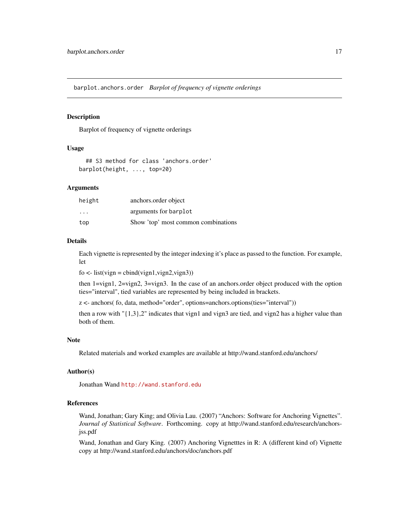<span id="page-16-1"></span><span id="page-16-0"></span>barplot.anchors.order *Barplot of frequency of vignette orderings*

#### Description

Barplot of frequency of vignette orderings

#### Usage

## S3 method for class 'anchors.order' barplot(height, ..., top=20)

#### Arguments

| height                  | anchors.order object                |
|-------------------------|-------------------------------------|
| $\cdot$ $\cdot$ $\cdot$ | arguments for barplot               |
| top                     | Show 'top' most common combinations |

#### Details

Each vignette is represented by the integer indexing it's place as passed to the function. For example, let

 $f$ o <- list(vign = cbind(vign1,vign2,vign3))

then 1=vign1, 2=vign2, 3=vign3. In the case of an anchors.order object produced with the option ties="interval", tied variables are represented by being included in brackets.

z <- anchors( fo, data, method="order", options=anchors.options(ties="interval"))

then a row with " $\{1,3\}$ ,2" indicates that vign1 and vign3 are tied, and vign2 has a higher value than both of them.

# Note

Related materials and worked examples are available at http://wand.stanford.edu/anchors/

# Author(s)

Jonathan Wand <http://wand.stanford.edu>

#### References

Wand, Jonathan; Gary King; and Olivia Lau. (2007) "Anchors: Software for Anchoring Vignettes". *Journal of Statistical Software*. Forthcoming. copy at http://wand.stanford.edu/research/anchorsjss.pdf

Wand, Jonathan and Gary King. (2007) Anchoring Vignetttes in R: A (different kind of) Vignette copy at http://wand.stanford.edu/anchors/doc/anchors.pdf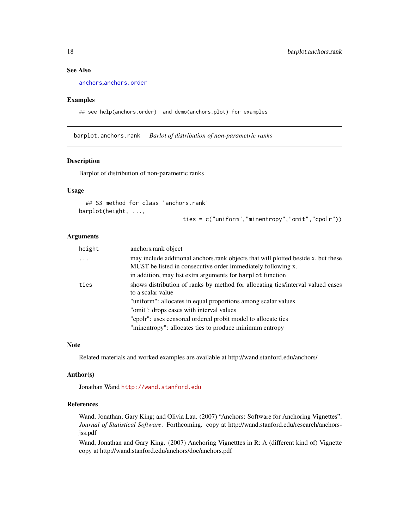# See Also

[anchors](#page-2-1),[anchors.order](#page-13-1)

#### Examples

## see help(anchors.order) and demo(anchors.plot) for examples

barplot.anchors.rank *Barlot of distribution of non-parametric ranks*

# Description

Barplot of distribution of non-parametric ranks

# Usage

```
## S3 method for class 'anchors.rank'
barplot(height, ...,
                               ties = c("uniform","minentropy","omit","cpolr"))
```
#### Arguments

| height | anchors.rank object                                                                                                                               |
|--------|---------------------------------------------------------------------------------------------------------------------------------------------------|
| .      | may include additional anchors.rank objects that will plotted beside x, but these<br>MUST be listed in consecutive order immediately following x. |
|        | in addition, may list extra arguments for barplot function                                                                                        |
| ties   | shows distribution of ranks by method for allocating ties/interval valued cases                                                                   |
|        | to a scalar value                                                                                                                                 |
|        | "uniform": allocates in equal proportions among scalar values                                                                                     |
|        | "omit": drops cases with interval values                                                                                                          |
|        | "cpolr": uses censored ordered probit model to allocate ties                                                                                      |
|        | "minentropy": allocates ties to produce minimum entropy                                                                                           |

#### Note

Related materials and worked examples are available at http://wand.stanford.edu/anchors/

#### Author(s)

Jonathan Wand <http://wand.stanford.edu>

## References

Wand, Jonathan; Gary King; and Olivia Lau. (2007) "Anchors: Software for Anchoring Vignettes". *Journal of Statistical Software*. Forthcoming. copy at http://wand.stanford.edu/research/anchorsjss.pdf

Wand, Jonathan and Gary King. (2007) Anchoring Vignetttes in R: A (different kind of) Vignette copy at http://wand.stanford.edu/anchors/doc/anchors.pdf

<span id="page-17-0"></span>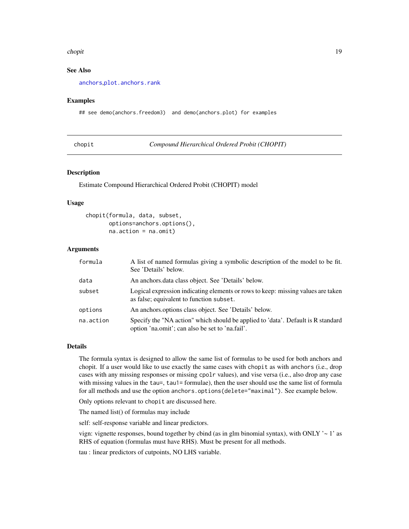#### <span id="page-18-0"></span>chopit and the choping of the choping of the choping of the choping of the choping of the choping of the choping of the choping of the choping of the choping of the choping of the choping of the choping of the choping of t

# See Also

[anchors](#page-2-1),[plot.anchors.rank](#page-36-1)

#### Examples

## see demo(anchors.freedom3) and demo(anchors.plot) for examples

<span id="page-18-1"></span>

| cnop. |  |
|-------|--|
|       |  |

**Compound Hierarchical Ordered Probit (CHOPIT)** 

# Description

Estimate Compound Hierarchical Ordered Probit (CHOPIT) model

#### Usage

```
chopit(formula, data, subset,
      options=anchors.options(),
       na.action = na.omit)
```
# Arguments

| formula   | A list of named formulas giving a symbolic description of the model to be fit.<br>See 'Details' below.                              |
|-----------|-------------------------------------------------------------------------------------------------------------------------------------|
| data      | An anchors data class object. See 'Details' below.                                                                                  |
| subset    | Logical expression indicating elements or rows to keep: missing values are taken<br>as false; equivalent to function subset.        |
| options   | An anchors options class object. See 'Details' below.                                                                               |
| na.action | Specify the "NA action" which should be applied to 'data'. Default is R standard<br>option 'na.omit'; can also be set to 'na.fail'. |

#### Details

The formula syntax is designed to allow the same list of formulas to be used for both anchors and chopit. If a user would like to use exactly the same cases with chopit as with anchors (i.e., drop cases with any missing responses or missing cpolr values), and vise versa (i.e., also drop any case with missing values in the tau=, tau1= formulae), then the user should use the same list of formula for all methods and use the option anchors.options(delete="maximal"). See example below.

Only options relevant to chopit are discussed here.

The named list() of formulas may include

self: self-response variable and linear predictors.

vign: vignette responses, bound together by cbind (as in glm binomial syntax), with ONLY  $\sim$  1' as RHS of equation (formulas must have RHS). Must be present for all methods.

tau : linear predictors of cutpoints, NO LHS variable.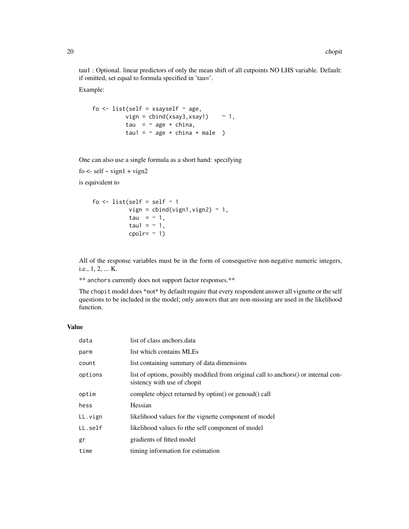tau1 : Optional. linear predictors of only the mean shift of all cutpoints NO LHS variable. Default: if omitted, set equal to formula specified in 'tau='.

Example:

```
fo \le list(self = xsayself \sim age,
          vign = cbind(xsay3,xsay1) \sim 1,
          tau = \sim age + china,
          tau1 = \sim age + china + male )
```
One can also use a single formula as a short hand: specifying

 $f$ o <- self ~ vign $1 +$ vign $2$ 

is equivalent to

```
fo \le list(self = self \sim 1
            vign = cbind(vign1, vign2) ~ 1,
            tau = \sim 1,
            tau1 = \sim 1,
            cpolr= ~1)
```
All of the response variables must be in the form of consequetive non-negative numeric integers, i.e., 1, 2, ... K.

\*\* anchors currently does not support factor responses.\*\*

The chopit model does \*not\* by default require that every respondent answer all vignette or the self questions to be included in the model; only answers that are non-missing are used in the likelihood function.

# Value

| data    | list of class anchors.data                                                                                          |
|---------|---------------------------------------------------------------------------------------------------------------------|
| parm    | list which contains MLEs                                                                                            |
| count   | list containing summary of data dimensions                                                                          |
| options | list of options, possibly modified from original call to anchors () or internal con-<br>sistency with use of chopit |
| optim   | complete object returned by optim() or genoud() call                                                                |
| hess    | Hessian                                                                                                             |
| LL.vign | likelihood values for the vignette component of model                                                               |
| LL.self | likelihood values fo rthe self component of model                                                                   |
| gr      | gradients of fitted model                                                                                           |
| time    | timing information for estimation                                                                                   |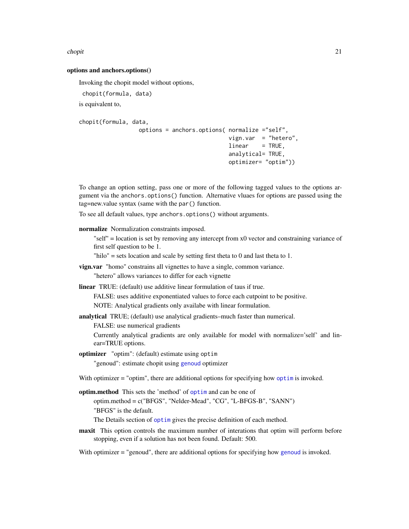#### <span id="page-20-0"></span>chopit 21

#### options and anchors.options()

Invoking the chopit model without options,

```
chopit(formula, data)
```
is equivalent to,

```
chopit(formula, data,
                 options = anchors.options( normalize ="self",
                                            vign.var = "hetero",
                                            linear = TRUE,analytical= TRUE,
                                            optimizer= "optim"))
```
To change an option setting, pass one or more of the following tagged values to the options argument via the anchors.options() function. Alternative vluaes for options are passed using the tag=new.value syntax (same with the par() function.

To see all default values, type anchors.options() without arguments.

- normalize Normalization constraints imposed.
	- "self" = location is set by removing any intercept from x0 vector and constraining variance of first self question to be 1.

"hilo" = sets location and scale by setting first theta to  $0$  and last theta to  $1$ .

- vign.var "homo" constrains all vignettes to have a single, common variance. "hetero" allows variances to differ for each vignette
- linear TRUE: (default) use additive linear formulation of taus if true.

FALSE: uses additive exponentiated values to force each cutpoint to be positive.

NOTE: Analytical gradients only availabe with linear formulation.

analytical TRUE; (default) use analytical gradients–much faster than numerical.

FALSE: use numerical gradients

Currently analytical gradients are only available for model with normalize='self' and linear=TRUE options.

- optimizer "optim": (default) estimate using optim "genoud": estimate chopit using [genoud](#page-0-0) optimizer
- With [optim](#page-0-0)izer = "optim", there are additional options for specifying how optimis invoked.
- optim.method This sets the 'method' of [optim](#page-0-0) and can be one of

optim.method = c("BFGS", "Nelder-Mead", "CG", "L-BFGS-B", "SANN") "BFGS" is the default.

The Details section of [optim](#page-0-0) gives the precise definition of each method.

maxit This option controls the maximum number of interations that optim will perform before stopping, even if a solution has not been found. Default: 500.

With optimizer = "genoud", there are additional options for specifying how [genoud](#page-0-0) is invoked.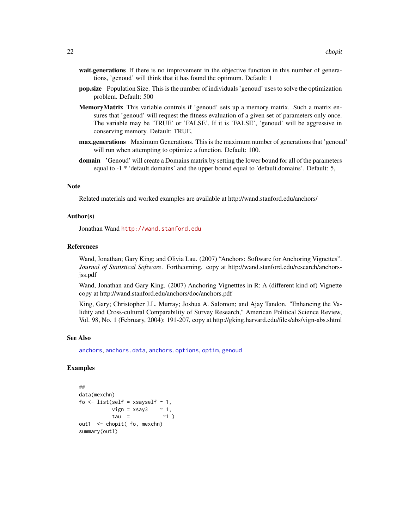- <span id="page-21-0"></span>wait.generations If there is no improvement in the objective function in this number of generations, 'genoud' will think that it has found the optimum. Default: 1
- pop.size Population Size. This is the number of individuals 'genoud' uses to solve the optimization problem. Default: 500
- MemoryMatrix This variable controls if 'genoud' sets up a memory matrix. Such a matrix ensures that 'genoud' will request the fitness evaluation of a given set of parameters only once. The variable may be 'TRUE' or 'FALSE'. If it is 'FALSE', 'genoud' will be aggressive in conserving memory. Default: TRUE.
- max.generations Maximum Generations. This is the maximum number of generations that 'genoud' will run when attempting to optimize a function. Default: 100.
- domain 'Genoud' will create a Domains matrix by setting the lower bound for all of the parameters equal to -1 \* 'default.domains' and the upper bound equal to 'default.domains'. Default: 5,

#### **Note**

Related materials and worked examples are available at http://wand.stanford.edu/anchors/

#### Author(s)

Jonathan Wand <http://wand.stanford.edu>

#### References

Wand, Jonathan; Gary King; and Olivia Lau. (2007) "Anchors: Software for Anchoring Vignettes". *Journal of Statistical Software*. Forthcoming. copy at http://wand.stanford.edu/research/anchorsjss.pdf

Wand, Jonathan and Gary King. (2007) Anchoring Vignetttes in R: A (different kind of) Vignette copy at http://wand.stanford.edu/anchors/doc/anchors.pdf

King, Gary; Christopher J.L. Murray; Joshua A. Salomon; and Ajay Tandon. "Enhancing the Validity and Cross-cultural Comparability of Survey Research," American Political Science Review, Vol. 98, No. 1 (February, 2004): 191-207, copy at http://gking.harvard.edu/files/abs/vign-abs.shtml

#### See Also

[anchors](#page-2-1), [anchors.data](#page-9-1), [anchors.options](#page-12-1), [optim](#page-0-0), [genoud](#page-0-0)

# Examples

```
##
data(mexchn)
fo \le list(self = xsayself \sim 1,
          vign = xsay3 ~ 1,
          tau = \sim1 )
out1 <- chopit( fo, mexchn)
summary(out1)
```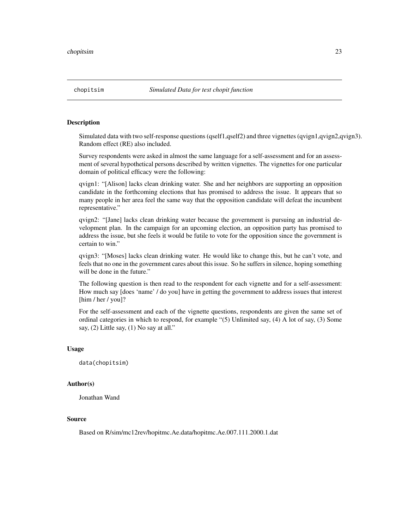<span id="page-22-0"></span>

#### Description

Simulated data with two self-response questions (qself1,qself2) and three vignettes (qvign1,qvign2,qvign3). Random effect (RE) also included.

Survey respondents were asked in almost the same language for a self-assessment and for an assessment of several hypothetical persons described by written vignettes. The vignettes for one particular domain of political efficacy were the following:

qvign1: "[Alison] lacks clean drinking water. She and her neighbors are supporting an opposition candidate in the forthcoming elections that has promised to address the issue. It appears that so many people in her area feel the same way that the opposition candidate will defeat the incumbent representative."

qvign2: "[Jane] lacks clean drinking water because the government is pursuing an industrial development plan. In the campaign for an upcoming election, an opposition party has promised to address the issue, but she feels it would be futile to vote for the opposition since the government is certain to win."

qvign3: "[Moses] lacks clean drinking water. He would like to change this, but he can't vote, and feels that no one in the government cares about this issue. So he suffers in silence, hoping something will be done in the future."

The following question is then read to the respondent for each vignette and for a self-assessment: How much say [does 'name' / do you] have in getting the government to address issues that interest [him / her / you]?

For the self-assessment and each of the vignette questions, respondents are given the same set of ordinal categories in which to respond, for example "(5) Unlimited say, (4) A lot of say, (3) Some say, (2) Little say, (1) No say at all."

#### Usage

data(chopitsim)

#### Author(s)

Jonathan Wand

#### Source

Based on R/sim/mc12rev/hopitmc.Ae.data/hopitmc.Ae.007.111.2000.1.dat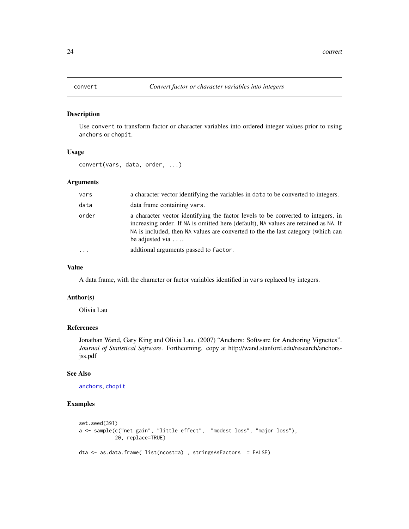<span id="page-23-0"></span>

# Description

Use convert to transform factor or character variables into ordered integer values prior to using anchors or chopit.

#### Usage

convert(vars, data, order, ...)

# Arguments

| vars  | a character vector identifying the variables in data to be converted to integers.                                                                                                                                                                                                      |
|-------|----------------------------------------------------------------------------------------------------------------------------------------------------------------------------------------------------------------------------------------------------------------------------------------|
| data  | data frame containing vars.                                                                                                                                                                                                                                                            |
| order | a character vector identifying the factor levels to be converted to integers, in<br>increasing order. If NA is omitted here (default), NA values are retained as NA. If<br>NA is included, then NA values are converted to the the last category (which can<br>be adjusted via $\dots$ |
|       | addional arguments passed to factor.                                                                                                                                                                                                                                                   |

#### Value

A data frame, with the character or factor variables identified in vars replaced by integers.

# Author(s)

Olivia Lau

# References

Jonathan Wand, Gary King and Olivia Lau. (2007) "Anchors: Software for Anchoring Vignettes". *Journal of Statistical Software*. Forthcoming. copy at http://wand.stanford.edu/research/anchorsjss.pdf

#### See Also

[anchors](#page-2-1), [chopit](#page-18-1)

# Examples

```
set.seed(391)
a <- sample(c("net gain", "little effect", "modest loss", "major loss"),
            20, replace=TRUE)
dta <- as.data.frame( list(ncost=a) , stringsAsFactors = FALSE)
```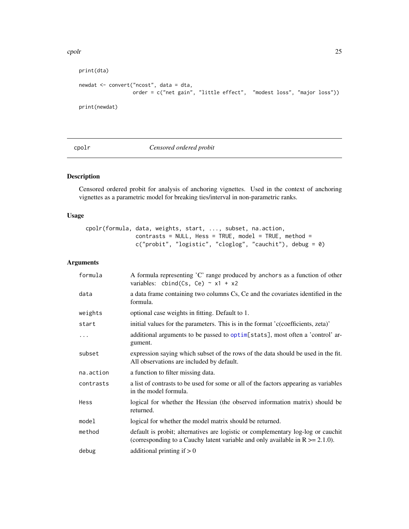#### <span id="page-24-0"></span>cpolr 25

```
print(dta)
newdat <- convert("ncost", data = dta,
                 order = c("net gain", "little effect", "modest loss", "major loss"))
print(newdat)
```
# <span id="page-24-1"></span>cpolr *Censored ordered probit*

# Description

Censored ordered probit for analysis of anchoring vignettes. Used in the context of anchoring vignettes as a parametric model for breaking ties/interval in non-parametric ranks.

#### Usage

```
cpolr(formula, data, weights, start, ..., subset, na.action,
              contrast = NULL, Hess = TRUE, model = TRUE, method =
              c("probit", "logistic", "cloglog", "cauchit"), debug = 0)
```
# Arguments

| formula   | A formula representing 'C' range produced by anchors as a function of other<br>variables: cbind(Cs, Ce) $\sim x1 + x2$                                                |
|-----------|-----------------------------------------------------------------------------------------------------------------------------------------------------------------------|
| data      | a data frame containing two columns Cs, Ce and the covariates identified in the<br>formula.                                                                           |
| weights   | optional case weights in fitting. Default to 1.                                                                                                                       |
| start     | initial values for the parameters. This is in the format 'c(coefficients, zeta)'                                                                                      |
| .         | additional arguments to be passed to optim[stats], most often a 'control' ar-<br>gument.                                                                              |
| subset    | expression saying which subset of the rows of the data should be used in the fit.<br>All observations are included by default.                                        |
| na.action | a function to filter missing data.                                                                                                                                    |
| contrasts | a list of contrasts to be used for some or all of the factors appearing as variables<br>in the model formula.                                                         |
| Hess      | logical for whether the Hessian (the observed information matrix) should be<br>returned.                                                                              |
| model     | logical for whether the model matrix should be returned.                                                                                                              |
| method    | default is probit; alternatives are logistic or complementary log-log or cauchit<br>(corresponding to a Cauchy latent variable and only available in $R \ge 2.1.0$ ). |
| debug     | additional printing if $> 0$                                                                                                                                          |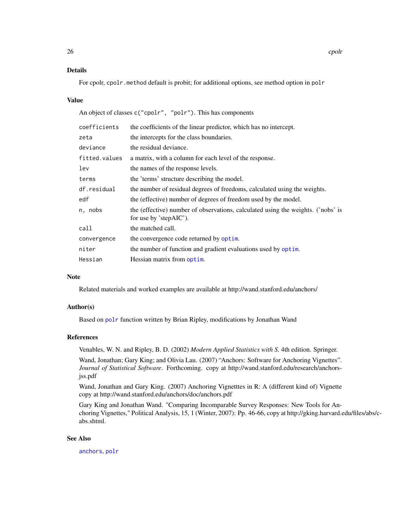# <span id="page-25-0"></span>Details

For cpolr, cpolr.method default is probit; for additional options, see method option in polr

#### Value

An object of classes c("cpolr", "polr"). This has components

| coefficients  | the coefficients of the linear predictor, which has no intercept.                                          |
|---------------|------------------------------------------------------------------------------------------------------------|
| zeta          | the intercepts for the class boundaries.                                                                   |
| deviance      | the residual deviance.                                                                                     |
| fitted.values | a matrix, with a column for each level of the response.                                                    |
| lev           | the names of the response levels.                                                                          |
| terms         | the 'terms' structure describing the model.                                                                |
| df.residual   | the number of residual degrees of freedoms, calculated using the weights.                                  |
| edf           | the (effective) number of degrees of freedom used by the model.                                            |
| n, nobs       | the (effective) number of observations, calculated using the weights. ('nobs' is<br>for use by 'stepAIC'). |
| call          | the matched call.                                                                                          |
| convergence   | the convergence code returned by optim.                                                                    |
| niter         | the number of function and gradient evaluations used by optim.                                             |
| Hessian       | Hessian matrix from optim.                                                                                 |
|               |                                                                                                            |

#### **Note**

Related materials and worked examples are available at http://wand.stanford.edu/anchors/

#### Author(s)

Based on [polr](#page-0-0) function written by Brian Ripley, modifications by Jonathan Wand

#### References

Venables, W. N. and Ripley, B. D. (2002) *Modern Applied Statistics with S.* 4th edition. Springer.

Wand, Jonathan; Gary King; and Olivia Lau. (2007) "Anchors: Software for Anchoring Vignettes". *Journal of Statistical Software*. Forthcoming. copy at http://wand.stanford.edu/research/anchorsjss.pdf

Wand, Jonathan and Gary King. (2007) Anchoring Vignetttes in R: A (different kind of) Vignette copy at http://wand.stanford.edu/anchors/doc/anchors.pdf

Gary King and Jonathan Wand. "Comparing Incomparable Survey Responses: New Tools for Anchoring Vignettes," Political Analysis, 15, 1 (Winter, 2007): Pp. 46-66, copy at http://gking.harvard.edu/files/abs/cabs.shtml.

#### See Also

[anchors](#page-2-1), [polr](#page-0-0)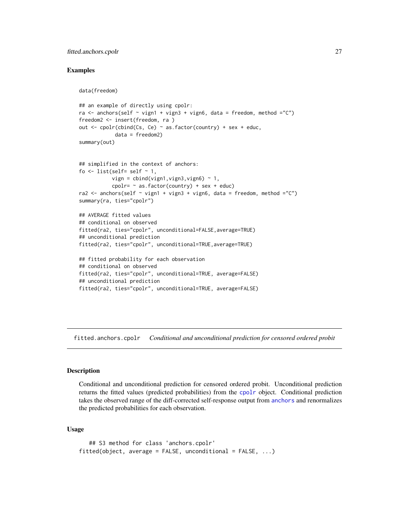#### <span id="page-26-0"></span>fitted.anchors.cpolr 27

# Examples

```
data(freedom)
```

```
## an example of directly using cpolr:
ra \le anchors(self \sim vign1 + vign3 + vign6, data = freedom, method ="C")
freedom2 <- insert(freedom, ra )
out <- cpolr(cbind(Cs, Ce) ~ as.factor(country) + sex + educ,
            data = freedom2)
summary(out)
## simplified in the context of anchors:
fo \le list(self= self \sim 1,
           vign = cbind(vign1, vign3, vign6) \sim 1,
           cpolr= \sim as.factor(country) + sex + educ)
ra2 <- anchors(self \sim vign1 + vign3 + vign6, data = freedom, method ="C")
summary(ra, ties="cpolr")
## AVERAGE fitted values
## conditional on observed
fitted(ra2, ties="cpolr", unconditional=FALSE,average=TRUE)
## unconditional prediction
fitted(ra2, ties="cpolr", unconditional=TRUE,average=TRUE)
## fitted probability for each observation
## conditional on observed
fitted(ra2, ties="cpolr", unconditional=TRUE, average=FALSE)
## unconditional prediction
fitted(ra2, ties="cpolr", unconditional=TRUE, average=FALSE)
```
fitted.anchors.cpolr *Conditional and unconditional prediction for censored ordered probit*

# Description

Conditional and unconditional prediction for censored ordered probit. Unconditional prediction returns the fitted values (predicted probabilities) from the [cpolr](#page-24-1) object. Conditional prediction takes the observed range of the diff-corrected self-response output from [anchors](#page-2-1) and renormalizes the predicted probabilities for each observation.

# Usage

```
## S3 method for class 'anchors.cpolr'
fitted(object, average = FALSE, unconditional = FALSE, ...)
```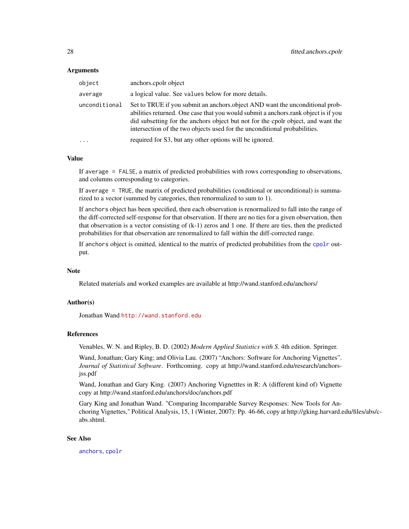#### <span id="page-27-0"></span>Arguments

| object        | anchors.cpolr object                                                                                                                                                                                                                                                                                                                |
|---------------|-------------------------------------------------------------------------------------------------------------------------------------------------------------------------------------------------------------------------------------------------------------------------------------------------------------------------------------|
| average       | a logical value. See values below for more details.                                                                                                                                                                                                                                                                                 |
| unconditional | Set to TRUE if you submit an anchors object AND want the unconditional prob-<br>abilities returned. One case that you would submit a anchors rank object is if you<br>did subsetting for the anchors object but not for the cpole object, and want the<br>intersection of the two objects used for the unconditional probabilities. |
| .             | required for S3, but any other options will be ignored.                                                                                                                                                                                                                                                                             |

#### Value

If average = FALSE, a matrix of predicted probabilities with rows corresponding to observations, and columns corresponding to categories.

If average = TRUE, the matrix of predicted probabilities (conditional or unconditional) is summarized to a vector (summed by categories, then renormalized to sum to 1).

If anchors object has been specified, then each observation is renormalized to fall into the range of the diff-corrected self-response for that observation. If there are no ties for a given observation, then that observation is a vector consisting of (k-1) zeros and 1 one. If there are ties, then the predicted probabilities for that observation are renormalized to fall within the diff-corrected range.

If anchors object is omitted, identical to the matrix of predicted probabilities from the [cpolr](#page-24-1) output.

#### **Note**

Related materials and worked examples are available at http://wand.stanford.edu/anchors/

#### Author(s)

Jonathan Wand <http://wand.stanford.edu>

# References

Venables, W. N. and Ripley, B. D. (2002) *Modern Applied Statistics with S.* 4th edition. Springer.

Wand, Jonathan; Gary King; and Olivia Lau. (2007) "Anchors: Software for Anchoring Vignettes". *Journal of Statistical Software*. Forthcoming. copy at http://wand.stanford.edu/research/anchorsjss.pdf

Wand, Jonathan and Gary King. (2007) Anchoring Vignetttes in R: A (different kind of) Vignette copy at http://wand.stanford.edu/anchors/doc/anchors.pdf

Gary King and Jonathan Wand. "Comparing Incomparable Survey Responses: New Tools for Anchoring Vignettes," Political Analysis, 15, 1 (Winter, 2007): Pp. 46-66, copy at http://gking.harvard.edu/files/abs/cabs.shtml.

# See Also

[anchors](#page-2-1), [cpolr](#page-24-1)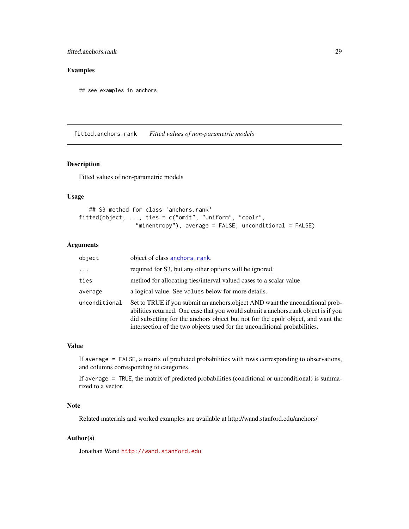# <span id="page-28-0"></span>fitted.anchors.rank 29

# Examples

## see examples in anchors

fitted.anchors.rank *Fitted values of non-parametric models*

#### Description

Fitted values of non-parametric models

### Usage

```
## S3 method for class 'anchors.rank'
fitted(object, ..., ties = c("omit", "uniform", "cpolr",
                 "minentropy"), average = FALSE, unconditional = FALSE)
```
# Arguments

| object        | object of class anchors. rank.                                                                                                                                                                                                                                                                                                      |
|---------------|-------------------------------------------------------------------------------------------------------------------------------------------------------------------------------------------------------------------------------------------------------------------------------------------------------------------------------------|
| $\cdots$      | required for S3, but any other options will be ignored.                                                                                                                                                                                                                                                                             |
| ties          | method for allocating ties/interval valued cases to a scalar value                                                                                                                                                                                                                                                                  |
| average       | a logical value. See values below for more details.                                                                                                                                                                                                                                                                                 |
| unconditional | Set to TRUE if you submit an anchors object AND want the unconditional prob-<br>abilities returned. One case that you would submit a anchors rank object is if you<br>did subsetting for the anchors object but not for the cpole object, and want the<br>intersection of the two objects used for the unconditional probabilities. |

### Value

If average = FALSE, a matrix of predicted probabilities with rows corresponding to observations, and columns corresponding to categories.

If average = TRUE, the matrix of predicted probabilities (conditional or unconditional) is summarized to a vector.

#### Note

Related materials and worked examples are available at http://wand.stanford.edu/anchors/

# Author(s)

Jonathan Wand <http://wand.stanford.edu>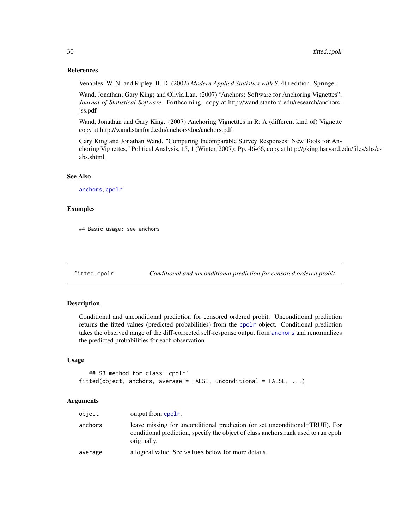#### References

Venables, W. N. and Ripley, B. D. (2002) *Modern Applied Statistics with S.* 4th edition. Springer.

Wand, Jonathan; Gary King; and Olivia Lau. (2007) "Anchors: Software for Anchoring Vignettes". *Journal of Statistical Software*. Forthcoming. copy at http://wand.stanford.edu/research/anchorsjss.pdf

Wand, Jonathan and Gary King. (2007) Anchoring Vignetttes in R: A (different kind of) Vignette copy at http://wand.stanford.edu/anchors/doc/anchors.pdf

Gary King and Jonathan Wand. "Comparing Incomparable Survey Responses: New Tools for Anchoring Vignettes," Political Analysis, 15, 1 (Winter, 2007): Pp. 46-66, copy at http://gking.harvard.edu/files/abs/cabs.shtml.

# See Also

[anchors](#page-2-1), [cpolr](#page-24-1)

#### Examples

## Basic usage: see anchors

fitted.cpolr *Conditional and unconditional prediction for censored ordered probit*

#### **Description**

Conditional and unconditional prediction for censored ordered probit. Unconditional prediction returns the fitted values (predicted probabilities) from the [cpolr](#page-24-1) object. Conditional prediction takes the observed range of the diff-corrected self-response output from [anchors](#page-2-1) and renormalizes the predicted probabilities for each observation.

# Usage

```
## S3 method for class 'cpolr'
fitted(object, anchors, average = FALSE, unconditional = FALSE, \ldots)
```
# Arguments

| object  | output from cpolr.                                                                                                                                                               |
|---------|----------------------------------------------------------------------------------------------------------------------------------------------------------------------------------|
| anchors | leave missing for unconditional prediction (or set unconditional=TRUE). For<br>conditional prediction, specify the object of class anchors.rank used to run cpolr<br>originally. |
| average | a logical value. See values below for more details.                                                                                                                              |

<span id="page-29-0"></span>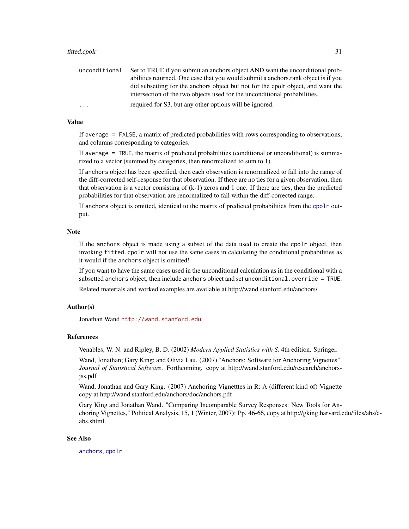#### <span id="page-30-0"></span>fitted.cpolr 31

| unconditional | Set to TRUE if you submit an anchors.object AND want the unconditional prob-       |
|---------------|------------------------------------------------------------------------------------|
|               | abilities returned. One case that you would submit a anchors rank object is if you |
|               | did subsetting for the anchors object but not for the cpolr object, and want the   |
|               | intersection of the two objects used for the unconditional probabilities.          |
| .             | required for S3, but any other options will be ignored.                            |

# Value

If average = FALSE, a matrix of predicted probabilities with rows corresponding to observations, and columns corresponding to categories.

If average = TRUE, the matrix of predicted probabilities (conditional or unconditional) is summarized to a vector (summed by categories, then renormalized to sum to 1).

If anchors object has been specified, then each observation is renormalized to fall into the range of the diff-corrected self-response for that observation. If there are no ties for a given observation, then that observation is a vector consisting of (k-1) zeros and 1 one. If there are ties, then the predicted probabilities for that observation are renormalized to fall within the diff-corrected range.

If anchors object is omitted, identical to the matrix of predicted probabilities from the [cpolr](#page-24-1) output.

# Note

If the anchors object is made using a subset of the data used to create the cpolr object, then invoking fitted.cpolr will not use the same cases in calculating the conditional probabilities as it would if the anchors object is omitted!

If you want to have the same cases used in the unconditional calculation as in the conditional with a subsetted anchors object, then include anchors object and set unconditional.override = TRUE.

Related materials and worked examples are available at http://wand.stanford.edu/anchors/

#### Author(s)

Jonathan Wand <http://wand.stanford.edu>

#### References

Venables, W. N. and Ripley, B. D. (2002) *Modern Applied Statistics with S.* 4th edition. Springer.

Wand, Jonathan; Gary King; and Olivia Lau. (2007) "Anchors: Software for Anchoring Vignettes". *Journal of Statistical Software*. Forthcoming. copy at http://wand.stanford.edu/research/anchorsjss.pdf

Wand, Jonathan and Gary King. (2007) Anchoring Vignetttes in R: A (different kind of) Vignette copy at http://wand.stanford.edu/anchors/doc/anchors.pdf

Gary King and Jonathan Wand. "Comparing Incomparable Survey Responses: New Tools for Anchoring Vignettes," Political Analysis, 15, 1 (Winter, 2007): Pp. 46-66, copy at http://gking.harvard.edu/files/abs/cabs.shtml.

#### See Also

[anchors](#page-2-1), [cpolr](#page-24-1)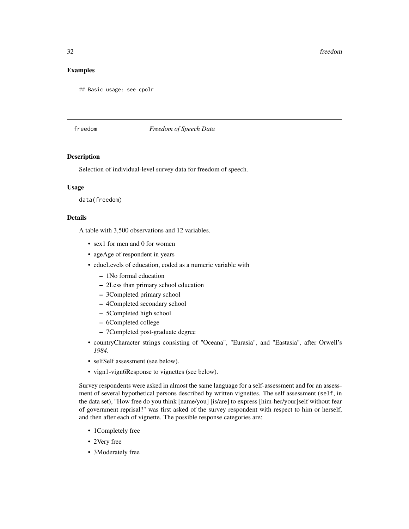# <span id="page-31-0"></span>Examples

## Basic usage: see cpolr

#### freedom *Freedom of Speech Data*

#### Description

Selection of individual-level survey data for freedom of speech.

# Usage

data(freedom)

# Details

A table with 3,500 observations and 12 variables.

- sex1 for men and 0 for women
- ageAge of respondent in years
- educLevels of education, coded as a numeric variable with
	- 1No formal education
	- 2Less than primary school education
	- 3Completed primary school
	- 4Completed secondary school
	- 5Completed high school
	- 6Completed college
	- 7Completed post-graduate degree
- countryCharacter strings consisting of "Oceana", "Eurasia", and "Eastasia", after Orwell's *1984*.
- selfSelf assessment (see below).
- vign1-vign6Response to vignettes (see below).

Survey respondents were asked in almost the same language for a self-assessment and for an assessment of several hypothetical persons described by written vignettes. The self assessment (self, in the data set), "How free do you think [name/you] [is/are] to express [him-her/your]self without fear of government reprisal?" was first asked of the survey respondent with respect to him or herself, and then after each of vignette. The possible response categories are:

- 1Completely free
- 2Very free
- 3Moderately free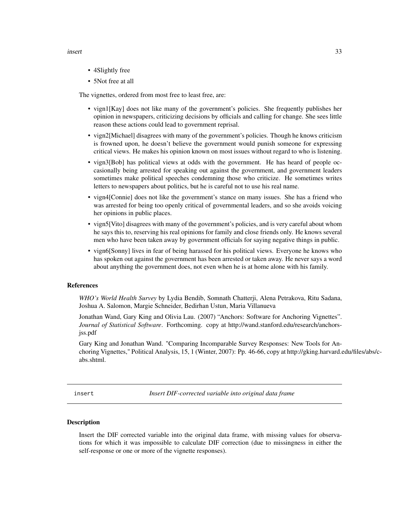#### <span id="page-32-0"></span>insert 33

- 4Slightly free
- 5Not free at all

The vignettes, ordered from most free to least free, are:

- vign1[Kay] does not like many of the government's policies. She frequently publishes her opinion in newspapers, criticizing decisions by officials and calling for change. She sees little reason these actions could lead to government reprisal.
- vign2[Michael] disagrees with many of the government's policies. Though he knows criticism is frowned upon, he doesn't believe the government would punish someone for expressing critical views. He makes his opinion known on most issues without regard to who is listening.
- vign3[Bob] has political views at odds with the government. He has heard of people occasionally being arrested for speaking out against the government, and government leaders sometimes make political speeches condemning those who criticize. He sometimes writes letters to newspapers about politics, but he is careful not to use his real name.
- vign4[Connie] does not like the government's stance on many issues. She has a friend who was arrested for being too openly critical of governmental leaders, and so she avoids voicing her opinions in public places.
- vign5[Vito] disagrees with many of the government's policies, and is very careful about whom he says this to, reserving his real opinions for family and close friends only. He knows several men who have been taken away by government officials for saying negative things in public.
- vign6[Sonny] lives in fear of being harassed for his political views. Everyone he knows who has spoken out against the government has been arrested or taken away. He never says a word about anything the government does, not even when he is at home alone with his family.

#### References

*WHO's World Health Survey* by Lydia Bendib, Somnath Chatterji, Alena Petrakova, Ritu Sadana, Joshua A. Salomon, Margie Schneider, Bedirhan Ustun, Maria Villanueva

Jonathan Wand, Gary King and Olivia Lau. (2007) "Anchors: Software for Anchoring Vignettes". *Journal of Statistical Software*. Forthcoming. copy at http://wand.stanford.edu/research/anchorsjss.pdf

Gary King and Jonathan Wand. "Comparing Incomparable Survey Responses: New Tools for Anchoring Vignettes," Political Analysis, 15, 1 (Winter, 2007): Pp. 46-66, copy at http://gking.harvard.edu/files/abs/cabs.shtml.

insert *Insert DIF-corrected variable into original data frame*

#### **Description**

Insert the DIF corrected variable into the original data frame, with missing values for observations for which it was impossible to calculate DIF correction (due to missingness in either the self-response or one or more of the vignette responses).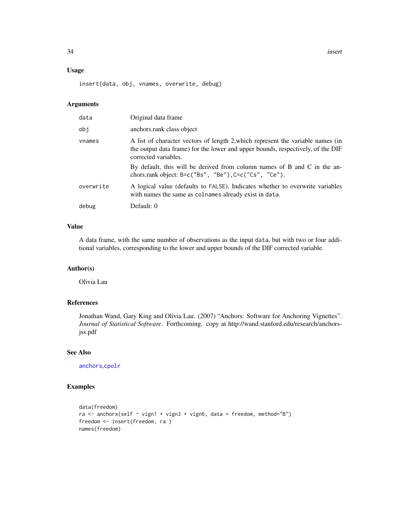<span id="page-33-0"></span>34 insert

# Usage

insert(data, obj, vnames, overwrite, debug)

#### Arguments

| data      | Original data frame                                                                                                                                                                        |  |
|-----------|--------------------------------------------------------------------------------------------------------------------------------------------------------------------------------------------|--|
| obi       | anchors.rank class object                                                                                                                                                                  |  |
| vnames    | A list of character vectors of length 2, which represent the variable names (in<br>the output data frame) for the lower and upper bounds, respectively, of the DIF<br>corrected variables. |  |
|           | By default, this will be derived from column names of B and C in the an-<br>chors.rank object: $B = c("Bs", "Be")$ , $C = c("Cs", "Ce")$ .                                                 |  |
| overwrite | A logical value (defaults to FALSE). Indicates whether to overwrite variables<br>with names the same as colnames already exist in data.                                                    |  |
| debug     | Default: 0                                                                                                                                                                                 |  |

# Value

A data frame, with the same number of observations as the input data, but with two or four additional variables, corresponding to the lower and upper bounds of the DIF corrected variable.

# Author(s)

Olivia Lau

# References

Jonathan Wand, Gary King and Olivia Lau. (2007) "Anchors: Software for Anchoring Vignettes". *Journal of Statistical Software*. Forthcoming. copy at http://wand.stanford.edu/research/anchorsjss.pdf

# See Also

[anchors](#page-2-1),[cpolr](#page-24-1)

# Examples

```
data(freedom)
ra \le anchors(self \sim vign1 + vign3 + vign6, data = freedom, method="B")
freedom <- insert(freedom, ra )
names(freedom)
```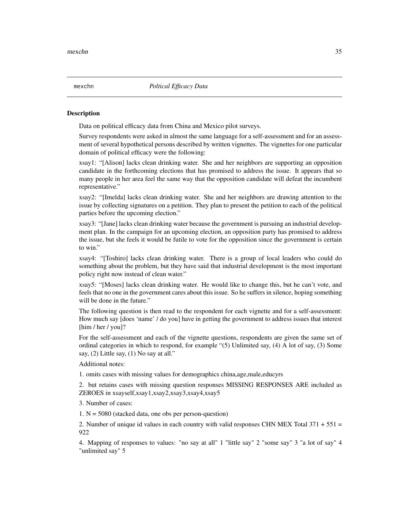#### Description

Data on political efficacy data from China and Mexico pilot surveys.

Survey respondents were asked in almost the same language for a self-assessment and for an assessment of several hypothetical persons described by written vignettes. The vignettes for one particular domain of political efficacy were the following:

xsay1: "[Alison] lacks clean drinking water. She and her neighbors are supporting an opposition candidate in the forthcoming elections that has promised to address the issue. It appears that so many people in her area feel the same way that the opposition candidate will defeat the incumbent representative."

xsay2: "[Imelda] lacks clean drinking water. She and her neighbors are drawing attention to the issue by collecting signatures on a petition. They plan to present the petition to each of the political parties before the upcoming election."

xsay3: "[Jane] lacks clean drinking water because the government is pursuing an industrial development plan. In the campaign for an upcoming election, an opposition party has promised to address the issue, but she feels it would be futile to vote for the opposition since the government is certain to win."

xsay4: "[Toshiro] lacks clean drinking water. There is a group of local leaders who could do something about the problem, but they have said that industrial development is the most important policy right now instead of clean water."

xsay5: "[Moses] lacks clean drinking water. He would like to change this, but he can't vote, and feels that no one in the government cares about this issue. So he suffers in silence, hoping something will be done in the future."

The following question is then read to the respondent for each vignette and for a self-assessment: How much say [does 'name' / do you] have in getting the government to address issues that interest [him / her / you]?

For the self-assessment and each of the vignette questions, respondents are given the same set of ordinal categories in which to respond, for example "(5) Unlimited say, (4) A lot of say, (3) Some say, (2) Little say, (1) No say at all."

Additional notes:

1. omits cases with missing values for demographics china,age,male,educyrs

2. but retains cases with missing question responses MISSING RESPONSES ARE included as ZEROES in xsayself,xsay1,xsay2,xsay3,xsay4,xsay5

3. Number of cases:

1.  $N = 5080$  (stacked data, one obs per person-question)

2. Number of unique id values in each country with valid responses CHN MEX Total  $371 + 551 =$ 922

4. Mapping of responses to values: "no say at all" 1 "little say" 2 "some say" 3 "a lot of say" 4 "unlimited say" 5

<span id="page-34-0"></span>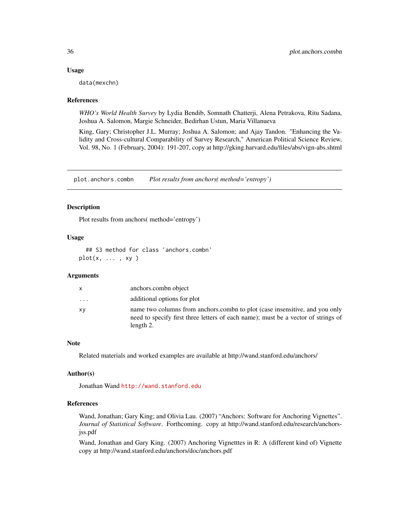#### Usage

data(mexchn)

#### References

*WHO's World Health Survey* by Lydia Bendib, Somnath Chatterji, Alena Petrakova, Ritu Sadana, Joshua A. Salomon, Margie Schneider, Bedirhan Ustun, Maria Villanueva

King, Gary; Christopher J.L. Murray; Joshua A. Salomon; and Ajay Tandon. "Enhancing the Validity and Cross-cultural Comparability of Survey Research," American Political Science Review, Vol. 98, No. 1 (February, 2004): 191-207, copy at http://gking.harvard.edu/files/abs/vign-abs.shtml

plot.anchors.combn *Plot results from anchors( method='entropy')*

#### Description

Plot results from anchors( method='entropy')

#### Usage

## S3 method for class 'anchors.combn'  $plot(x, \ldots, xy)$ 

# Arguments

| X  | anchors.combn object                                                                                                                                                          |
|----|-------------------------------------------------------------------------------------------------------------------------------------------------------------------------------|
| .  | additional options for plot                                                                                                                                                   |
| XV | name two columns from anchors.combi to plot (case insensitive, and you only<br>need to specify first three letters of each name); must be a vector of strings of<br>length 2. |

# Note

Related materials and worked examples are available at http://wand.stanford.edu/anchors/

#### Author(s)

Jonathan Wand <http://wand.stanford.edu>

#### References

Wand, Jonathan; Gary King; and Olivia Lau. (2007) "Anchors: Software for Anchoring Vignettes". *Journal of Statistical Software*. Forthcoming. copy at http://wand.stanford.edu/research/anchorsjss.pdf

Wand, Jonathan and Gary King. (2007) Anchoring Vignetttes in R: A (different kind of) Vignette copy at http://wand.stanford.edu/anchors/doc/anchors.pdf

<span id="page-35-0"></span>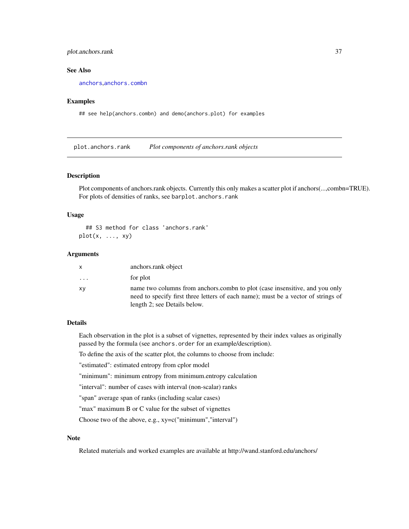# <span id="page-36-0"></span>plot.anchors.rank 37

#### See Also

[anchors](#page-2-1),[anchors.combn](#page-8-1)

# Examples

## see help(anchors.combn) and demo(anchors.plot) for examples

<span id="page-36-1"></span>plot.anchors.rank *Plot components of anchors.rank objects*

# Description

Plot components of anchors.rank objects. Currently this only makes a scatter plot if anchors(...,combn=TRUE). For plots of densities of ranks, see barplot.anchors.rank

#### Usage

## S3 method for class 'anchors.rank'  $plot(x, ..., xy)$ 

#### Arguments

| X        | anchors.rank object                                                                                                                                                                              |
|----------|--------------------------------------------------------------------------------------------------------------------------------------------------------------------------------------------------|
| $\cdots$ | for plot                                                                                                                                                                                         |
| XV       | name two columns from anchors.combi to plot (case insensitive, and you only<br>need to specify first three letters of each name); must be a vector of strings of<br>length 2; see Details below. |

# Details

Each observation in the plot is a subset of vignettes, represented by their index values as originally passed by the formula (see anchors.order for an example/description).

To define the axis of the scatter plot, the columns to choose from include:

"estimated": estimated entropy from cplor model

"minimum": minimum entropy from minimum.entropy calculation

"interval": number of cases with interval (non-scalar) ranks

"span" average span of ranks (including scalar cases)

"max" maximum B or C value for the subset of vignettes

Choose two of the above, e.g., xy=c("minimum","interval")

# Note

Related materials and worked examples are available at http://wand.stanford.edu/anchors/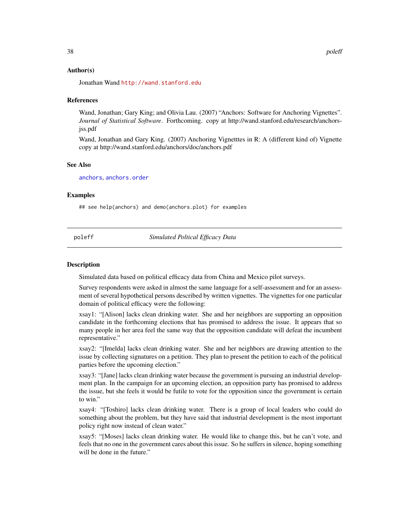#### <span id="page-37-0"></span>Author(s)

Jonathan Wand <http://wand.stanford.edu>

#### References

Wand, Jonathan; Gary King; and Olivia Lau. (2007) "Anchors: Software for Anchoring Vignettes". *Journal of Statistical Software*. Forthcoming. copy at http://wand.stanford.edu/research/anchorsjss.pdf

Wand, Jonathan and Gary King. (2007) Anchoring Vignetttes in R: A (different kind of) Vignette copy at http://wand.stanford.edu/anchors/doc/anchors.pdf

#### See Also

[anchors](#page-2-1), [anchors.order](#page-13-1)

#### Examples

## see help(anchors) and demo(anchors.plot) for examples

poleff *Simulated Poltical Efficacy Data*

#### Description

Simulated data based on political efficacy data from China and Mexico pilot surveys.

Survey respondents were asked in almost the same language for a self-assessment and for an assessment of several hypothetical persons described by written vignettes. The vignettes for one particular domain of political efficacy were the following:

xsay1: "[Alison] lacks clean drinking water. She and her neighbors are supporting an opposition candidate in the forthcoming elections that has promised to address the issue. It appears that so many people in her area feel the same way that the opposition candidate will defeat the incumbent representative."

xsay2: "[Imelda] lacks clean drinking water. She and her neighbors are drawing attention to the issue by collecting signatures on a petition. They plan to present the petition to each of the political parties before the upcoming election."

xsay3: "[Jane] lacks clean drinking water because the government is pursuing an industrial development plan. In the campaign for an upcoming election, an opposition party has promised to address the issue, but she feels it would be futile to vote for the opposition since the government is certain to win."

xsay4: "[Toshiro] lacks clean drinking water. There is a group of local leaders who could do something about the problem, but they have said that industrial development is the most important policy right now instead of clean water."

xsay5: "[Moses] lacks clean drinking water. He would like to change this, but he can't vote, and feels that no one in the government cares about this issue. So he suffers in silence, hoping something will be done in the future."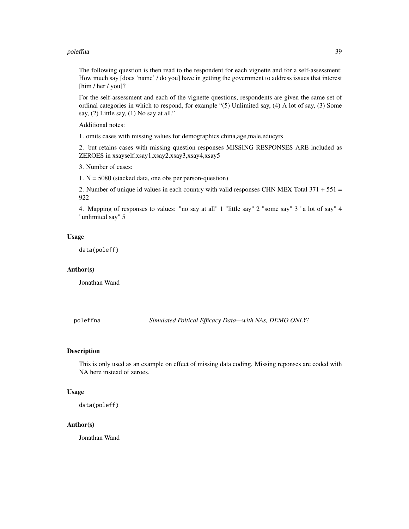#### <span id="page-38-0"></span>poleffna 39

The following question is then read to the respondent for each vignette and for a self-assessment: How much say [does 'name' / do you] have in getting the government to address issues that interest [him / her / you]?

For the self-assessment and each of the vignette questions, respondents are given the same set of ordinal categories in which to respond, for example "(5) Unlimited say, (4) A lot of say, (3) Some say, (2) Little say, (1) No say at all."

Additional notes:

1. omits cases with missing values for demographics china,age,male,educyrs

2. but retains cases with missing question responses MISSING RESPONSES ARE included as ZEROES in xsayself,xsay1,xsay2,xsay3,xsay4,xsay5

3. Number of cases:

1.  $N = 5080$  (stacked data, one obs per person-question)

2. Number of unique id values in each country with valid responses CHN MEX Total  $371 + 551 =$ 922

4. Mapping of responses to values: "no say at all" 1 "little say" 2 "some say" 3 "a lot of say" 4 "unlimited say" 5

#### Usage

data(poleff)

#### Author(s)

Jonathan Wand

poleffna *Simulated Poltical Efficacy Data—with NAs, DEMO ONLY!*

#### Description

This is only used as an example on effect of missing data coding. Missing reponses are coded with NA here instead of zeroes.

#### Usage

data(poleff)

#### Author(s)

Jonathan Wand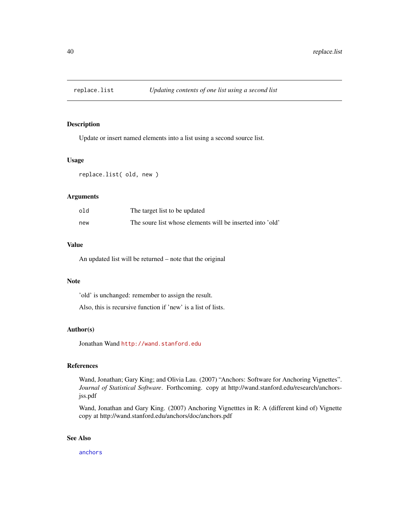<span id="page-39-0"></span>

#### Description

Update or insert named elements into a list using a second source list.

#### Usage

```
replace.list( old, new )
```
#### Arguments

| old | The target list to be updated                             |
|-----|-----------------------------------------------------------|
| new | The soure list whose elements will be inserted into 'old' |

#### Value

An updated list will be returned – note that the original

#### Note

'old' is unchanged: remember to assign the result.

Also, this is recursive function if 'new' is a list of lists.

#### Author(s)

Jonathan Wand <http://wand.stanford.edu>

# References

Wand, Jonathan; Gary King; and Olivia Lau. (2007) "Anchors: Software for Anchoring Vignettes". *Journal of Statistical Software*. Forthcoming. copy at http://wand.stanford.edu/research/anchorsjss.pdf

Wand, Jonathan and Gary King. (2007) Anchoring Vignetttes in R: A (different kind of) Vignette copy at http://wand.stanford.edu/anchors/doc/anchors.pdf

# See Also

[anchors](#page-2-1)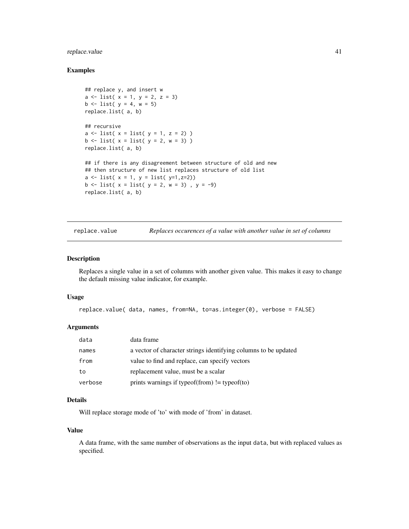# <span id="page-40-0"></span>replace.value 41

# Examples

```
## replace y, and insert w
a \leftarrow list( x = 1, y = 2, z = 3)
b \le - list( y = 4, w = 5)
replace.list( a, b)
## recursive
a \leftarrow list( x = list( y = 1, z = 2) )
b \leftarrow list( x = list( y = 2, w = 3) )
replace.list( a, b)
## if there is any disagreement between structure of old and new
## then structure of new list replaces structure of old list
a \leftarrow list(x = 1, y = list(y=1, z=2))b \leftarrow list( x = list( y = 2, w = 3), y = -9)
replace.list( a, b)
```
replace.value *Replaces occurences of a value with another value in set of columns*

#### Description

Replaces a single value in a set of columns with another given value. This makes it easy to change the default missing value indicator, for example.

# Usage

```
replace.value( data, names, from=NA, to=as.integer(0), verbose = FALSE)
```
# Arguments

| data    | data frame                                                      |
|---------|-----------------------------------------------------------------|
| names   | a vector of character strings identifying columns to be updated |
| from    | value to find and replace, can specify vectors                  |
| to      | replacement value, must be a scalar                             |
| verbose | prints warnings if typeof(from) $!=$ typeof(to)                 |

# Details

Will replace storage mode of 'to' with mode of 'from' in dataset.

#### Value

A data frame, with the same number of observations as the input data, but with replaced values as specified.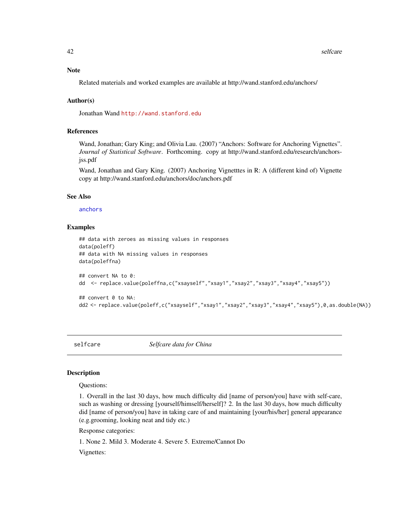<span id="page-41-0"></span>42 selfcare and the self-care and the self-care and the self-care and the self-care and the self-care and the self-care and the self-care and the self-care and the self-care and the self-care and the self-care and the self

# Note

Related materials and worked examples are available at http://wand.stanford.edu/anchors/

# Author(s)

Jonathan Wand <http://wand.stanford.edu>

# References

Wand, Jonathan; Gary King; and Olivia Lau. (2007) "Anchors: Software for Anchoring Vignettes". *Journal of Statistical Software*. Forthcoming. copy at http://wand.stanford.edu/research/anchorsjss.pdf

Wand, Jonathan and Gary King. (2007) Anchoring Vignetttes in R: A (different kind of) Vignette copy at http://wand.stanford.edu/anchors/doc/anchors.pdf

# See Also

[anchors](#page-2-1)

# Examples

```
## data with zeroes as missing values in responses
data(poleff)
## data with NA missing values in responses
data(poleffna)
## convert NA to 0:
dd <- replace.value(poleffna,c("xsayself","xsay1","xsay2","xsay3","xsay4","xsay5"))
## convert 0 to NA:
```

```
dd2 <- replace.value(poleff,c("xsayself","xsay1","xsay2","xsay3","xsay4","xsay5"),0,as.double(NA))
```
selfcare *Selfcare data for China*

#### Description

#### Questions:

1. Overall in the last 30 days, how much difficulty did [name of person/you] have with self-care, such as washing or dressing [yourself/himself/herself]? 2. In the last 30 days, how much difficulty did [name of person/you] have in taking care of and maintaining [your/his/her] general appearance (e.g.grooming, looking neat and tidy etc.)

Response categories:

1. None 2. Mild 3. Moderate 4. Severe 5. Extreme/Cannot Do

Vignettes: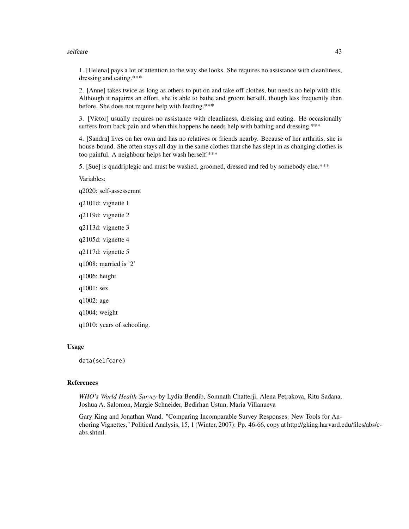#### selfcare and the self-care and the self-care and the self-care and the self-care and the self-care and the self-care and the self-care and the self-care and the self-care and the self-care and the self-care and the self-ca

1. [Helena] pays a lot of attention to the way she looks. She requires no assistance with cleanliness, dressing and eating.\*\*\*

2. [Anne] takes twice as long as others to put on and take off clothes, but needs no help with this. Although it requires an effort, she is able to bathe and groom herself, though less frequently than before. She does not require help with feeding.\*\*\*

3. [Victor] usually requires no assistance with cleanliness, dressing and eating. He occasionally suffers from back pain and when this happens he needs help with bathing and dressing.\*\*\*

4. [Sandra] lives on her own and has no relatives or friends nearby. Because of her arthritis, she is house-bound. She often stays all day in the same clothes that she has slept in as changing clothes is too painful. A neighbour helps her wash herself.\*\*\*

5. [Sue] is quadriplegic and must be washed, groomed, dressed and fed by somebody else.\*\*\*

Variables:

q2020: self-assessemnt

q2101d: vignette 1

q2119d: vignette 2

q2113d: vignette 3

q2105d: vignette 4

q2117d: vignette 5

q1008: married is '2'

q1006: height

q1001: sex

q1002: age

q1004: weight

q1010: years of schooling.

#### Usage

data(selfcare)

#### References

*WHO's World Health Survey* by Lydia Bendib, Somnath Chatterji, Alena Petrakova, Ritu Sadana, Joshua A. Salomon, Margie Schneider, Bedirhan Ustun, Maria Villanueva

Gary King and Jonathan Wand. "Comparing Incomparable Survey Responses: New Tools for Anchoring Vignettes," Political Analysis, 15, 1 (Winter, 2007): Pp. 46-66, copy at http://gking.harvard.edu/files/abs/cabs.shtml.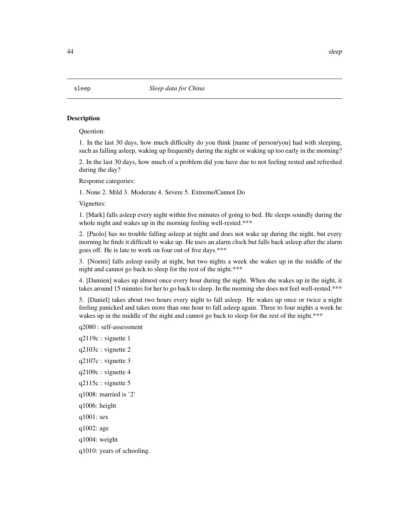#### Description

Question:

1. In the last 30 days, how much difficulty do you think [name of person/you] had with sleeping, such as falling asleep, waking up frequently during the night or waking up too early in the morning?

2. In the last 30 days, how much of a problem did you have due to not feeling rested and refreshed during the day?

Response categories:

1. None 2. Mild 3. Moderate 4. Severe 5. Extreme/Cannot Do

Vignettes:

1. [Mark] falls asleep every night within five minutes of going to bed. He sleeps soundly during the whole night and wakes up in the morning feeling well-rested.\*\*\*

2. [Paolo] has no trouble falling asleep at night and does not wake up during the night, but every morning he finds it difficult to wake up. He uses an alarm clock but falls back asleep after the alarm goes off. He is late to work on four out of five days.\*\*\*

3. [Noemi] falls asleep easily at night, but two nights a week she wakes up in the middle of the night and cannot go back to sleep for the rest of the night.\*\*\*

4. [Damien] wakes up almost once every hour during the night. When she wakes up in the night, it takes around 15 minutes for her to go back to sleep. In the morning she does not feel well-rested.\*\*\*

5. [Daniel] takes about two hours every night to fall asleep. He wakes up once or twice a night feeling panicked and takes more than one hour to fall asleep again. Three to four nights a week he wakes up in the middle of the night and cannot go back to sleep for the rest of the night.\*\*\*

q2080 : self-assessment

- q2119c : vignette 1
- q2103c : vignette 2
- q2107c : vignette 3
- q2109c : vignette 4
- q2115c : vignette 5
- q1008: married is '2'
- q1006: height
- q1001: sex
- q1002: age
- q1004: weight
- q1010: years of schooling.

<span id="page-43-0"></span>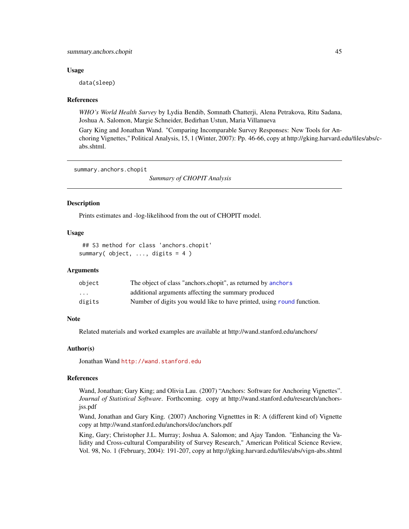# <span id="page-44-0"></span>summary.anchors.chopit 45

#### Usage

data(sleep)

## References

*WHO's World Health Survey* by Lydia Bendib, Somnath Chatterji, Alena Petrakova, Ritu Sadana, Joshua A. Salomon, Margie Schneider, Bedirhan Ustun, Maria Villanueva

Gary King and Jonathan Wand. "Comparing Incomparable Survey Responses: New Tools for Anchoring Vignettes," Political Analysis, 15, 1 (Winter, 2007): Pp. 46-66, copy at http://gking.harvard.edu/files/abs/cabs.shtml.

summary.anchors.chopit

*Summary of CHOPIT Analysis*

#### Description

Prints estimates and -log-likelihood from the out of CHOPIT model.

#### Usage

## S3 method for class 'anchors.chopit' summary( object, ..., digits = 4 )

#### Arguments

| object | The object of class "anchors.chopit", as returned by anchors           |
|--------|------------------------------------------------------------------------|
| .      | additional arguments affecting the summary produced                    |
| digits | Number of digits you would like to have printed, using round function. |

#### Note

Related materials and worked examples are available at http://wand.stanford.edu/anchors/

#### Author(s)

Jonathan Wand <http://wand.stanford.edu>

# References

Wand, Jonathan; Gary King; and Olivia Lau. (2007) "Anchors: Software for Anchoring Vignettes". *Journal of Statistical Software*. Forthcoming. copy at http://wand.stanford.edu/research/anchorsjss.pdf

Wand, Jonathan and Gary King. (2007) Anchoring Vignetttes in R: A (different kind of) Vignette copy at http://wand.stanford.edu/anchors/doc/anchors.pdf

King, Gary; Christopher J.L. Murray; Joshua A. Salomon; and Ajay Tandon. "Enhancing the Validity and Cross-cultural Comparability of Survey Research," American Political Science Review, Vol. 98, No. 1 (February, 2004): 191-207, copy at http://gking.harvard.edu/files/abs/vign-abs.shtml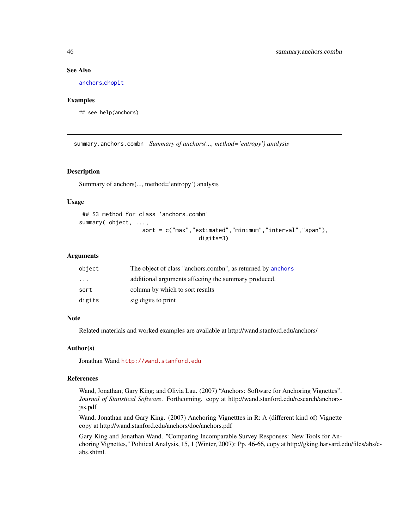#### See Also

[anchors](#page-2-1),[chopit](#page-18-1)

#### Examples

## see help(anchors)

summary.anchors.combn *Summary of anchors(..., method='entropy') analysis*

#### Description

Summary of anchors(..., method='entropy') analysis

# Usage

```
## S3 method for class 'anchors.combn'
summary( object, ...,
                   sort = c("max","estimated","minimum","interval","span"),
                                    digits=3)
```
# Arguments

| object | The object of class "anchors.combn", as returned by anchors |
|--------|-------------------------------------------------------------|
| .      | additional arguments affecting the summary produced.        |
| sort   | column by which to sort results                             |
| digits | sig digits to print                                         |

#### **Note**

Related materials and worked examples are available at http://wand.stanford.edu/anchors/

#### Author(s)

Jonathan Wand <http://wand.stanford.edu>

#### References

Wand, Jonathan; Gary King; and Olivia Lau. (2007) "Anchors: Software for Anchoring Vignettes". *Journal of Statistical Software*. Forthcoming. copy at http://wand.stanford.edu/research/anchorsjss.pdf

Wand, Jonathan and Gary King. (2007) Anchoring Vignetttes in R: A (different kind of) Vignette copy at http://wand.stanford.edu/anchors/doc/anchors.pdf

Gary King and Jonathan Wand. "Comparing Incomparable Survey Responses: New Tools for Anchoring Vignettes," Political Analysis, 15, 1 (Winter, 2007): Pp. 46-66, copy at http://gking.harvard.edu/files/abs/cabs.shtml.

<span id="page-45-0"></span>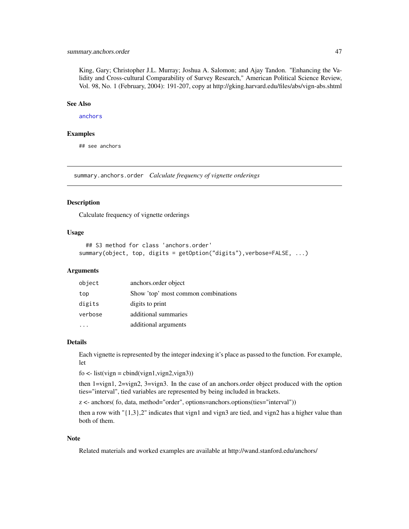# <span id="page-46-0"></span>summary.anchors.order 47

King, Gary; Christopher J.L. Murray; Joshua A. Salomon; and Ajay Tandon. "Enhancing the Validity and Cross-cultural Comparability of Survey Research," American Political Science Review, Vol. 98, No. 1 (February, 2004): 191-207, copy at http://gking.harvard.edu/files/abs/vign-abs.shtml

# See Also

[anchors](#page-2-1)

#### Examples

## see anchors

summary.anchors.order *Calculate frequency of vignette orderings*

#### Description

Calculate frequency of vignette orderings

#### Usage

```
## S3 method for class 'anchors.order'
summary(object, top, digits = getOption("digits"), verbose=FALSE, ...)
```
### Arguments

| object  | anchors.order object                |
|---------|-------------------------------------|
| top     | Show 'top' most common combinations |
| digits  | digits to print                     |
| verbose | additional summaries                |
|         | additional arguments                |

# Details

Each vignette is represented by the integer indexing it's place as passed to the function. For example, let

 $f_0 \leq -\text{list}(vign = \text{cbind}(vign1, \text{vign2}, \text{vign3}))$ 

then 1=vign1, 2=vign2, 3=vign3. In the case of an anchors.order object produced with the option ties="interval", tied variables are represented by being included in brackets.

z <- anchors( fo, data, method="order", options=anchors.options(ties="interval"))

then a row with " $\{1,3\}$ ,2" indicates that vign1 and vign3 are tied, and vign2 has a higher value than both of them.

#### Note

Related materials and worked examples are available at http://wand.stanford.edu/anchors/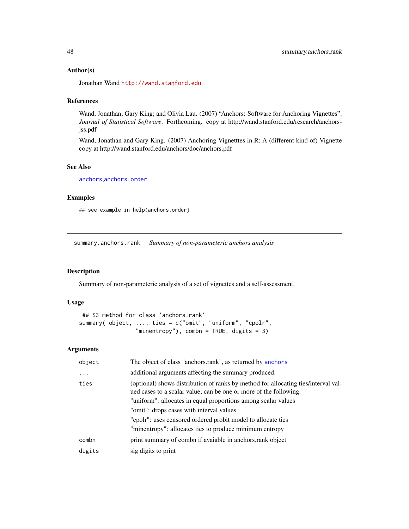#### <span id="page-47-0"></span>Author(s)

Jonathan Wand <http://wand.stanford.edu>

# References

Wand, Jonathan; Gary King; and Olivia Lau. (2007) "Anchors: Software for Anchoring Vignettes". *Journal of Statistical Software*. Forthcoming. copy at http://wand.stanford.edu/research/anchorsjss.pdf

Wand, Jonathan and Gary King. (2007) Anchoring Vignetttes in R: A (different kind of) Vignette copy at http://wand.stanford.edu/anchors/doc/anchors.pdf

# See Also

[anchors](#page-2-1),[anchors.order](#page-13-1)

# Examples

## see example in help(anchors.order)

summary.anchors.rank *Summary of non-parameteric anchors analysis*

### Description

Summary of non-parameteric analysis of a set of vignettes and a self-assessment.

#### Usage

## S3 method for class 'anchors.rank' summary( object, ..., ties = c("omit", "uniform", "cpolr", "minentropy"), combn = TRUE, digits = 3)

#### Arguments

| object    | The object of class "anchors.rank", as returned by anchors                                                                                              |  |
|-----------|---------------------------------------------------------------------------------------------------------------------------------------------------------|--|
| $\ddotsc$ | additional arguments affecting the summary produced.                                                                                                    |  |
| ties      | (optional) shows distribution of ranks by method for allocating ties/interval val-<br>ued cases to a scalar value; can be one or more of the following: |  |
|           | "uniform": allocates in equal proportions among scalar values                                                                                           |  |
|           | "omit": drops cases with interval values                                                                                                                |  |
|           | "cpolr": uses censored ordered probit model to allocate ties                                                                                            |  |
|           | "minentropy": allocates ties to produce minimum entropy                                                                                                 |  |
| combn     | print summary of combi if avaiable in anchors.rank object                                                                                               |  |
| digits    | sig digits to print                                                                                                                                     |  |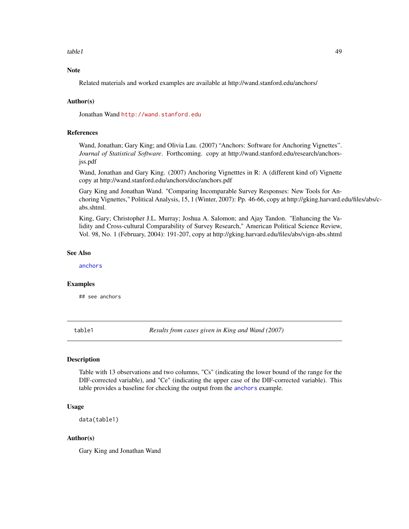<span id="page-48-0"></span> $table1$   $49$ 

# Note

Related materials and worked examples are available at http://wand.stanford.edu/anchors/

#### Author(s)

Jonathan Wand <http://wand.stanford.edu>

# References

Wand, Jonathan; Gary King; and Olivia Lau. (2007) "Anchors: Software for Anchoring Vignettes". *Journal of Statistical Software*. Forthcoming. copy at http://wand.stanford.edu/research/anchorsjss.pdf

Wand, Jonathan and Gary King. (2007) Anchoring Vignetttes in R: A (different kind of) Vignette copy at http://wand.stanford.edu/anchors/doc/anchors.pdf

Gary King and Jonathan Wand. "Comparing Incomparable Survey Responses: New Tools for Anchoring Vignettes," Political Analysis, 15, 1 (Winter, 2007): Pp. 46-66, copy at http://gking.harvard.edu/files/abs/cabs.shtml.

King, Gary; Christopher J.L. Murray; Joshua A. Salomon; and Ajay Tandon. "Enhancing the Validity and Cross-cultural Comparability of Survey Research," American Political Science Review, Vol. 98, No. 1 (February, 2004): 191-207, copy at http://gking.harvard.edu/files/abs/vign-abs.shtml

# See Also

[anchors](#page-2-1)

#### Examples

## see anchors

table1 *Results from cases given in King and Wand (2007)*

#### Description

Table with 13 observations and two columns, "Cs" (indicating the lower bound of the range for the DIF-corrected variable), and "Ce" (indicating the upper case of the DIF-corrected variable). This table provides a baseline for checking the output from the [anchors](#page-2-1) example.

# Usage

```
data(table1)
```
#### Author(s)

Gary King and Jonathan Wand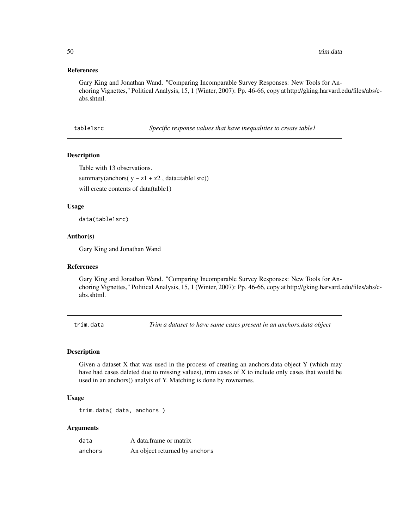# <span id="page-49-0"></span>References

Gary King and Jonathan Wand. "Comparing Incomparable Survey Responses: New Tools for Anchoring Vignettes," Political Analysis, 15, 1 (Winter, 2007): Pp. 46-66, copy at http://gking.harvard.edu/files/abs/cabs.shtml.

table1src *Specific response values that have inequalities to create table1*

#### Description

Table with 13 observations.

summary(anchors( $y \sim z1 + z2$ , data=table1src))

will create contents of data(table1)

# Usage

data(table1src)

#### Author(s)

Gary King and Jonathan Wand

#### References

Gary King and Jonathan Wand. "Comparing Incomparable Survey Responses: New Tools for Anchoring Vignettes," Political Analysis, 15, 1 (Winter, 2007): Pp. 46-66, copy at http://gking.harvard.edu/files/abs/cabs.shtml.

trim.data *Trim a dataset to have same cases present in an anchors.data object*

#### Description

Given a dataset X that was used in the process of creating an anchors.data object Y (which may have had cases deleted due to missing values), trim cases of X to include only cases that would be used in an anchors() analyis of Y. Matching is done by rownames.

#### Usage

trim.data( data, anchors )

#### Arguments

| data    | A data frame or matrix        |
|---------|-------------------------------|
| anchors | An object returned by anchors |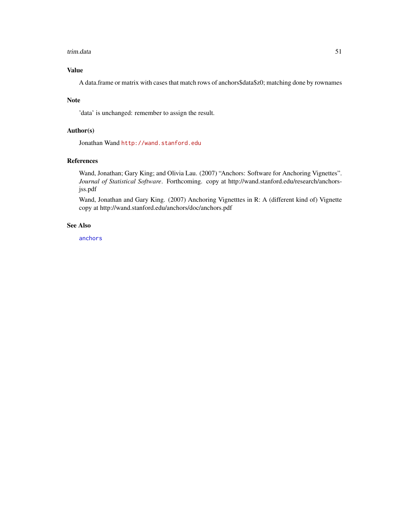#### <span id="page-50-0"></span>trim.data 51

# Value

A data.frame or matrix with cases that match rows of anchors\$data\$z0; matching done by rownames

#### Note

'data' is unchanged: remember to assign the result.

# Author(s)

Jonathan Wand <http://wand.stanford.edu>

# References

Wand, Jonathan; Gary King; and Olivia Lau. (2007) "Anchors: Software for Anchoring Vignettes". *Journal of Statistical Software*. Forthcoming. copy at http://wand.stanford.edu/research/anchorsjss.pdf

Wand, Jonathan and Gary King. (2007) Anchoring Vignetttes in R: A (different kind of) Vignette copy at http://wand.stanford.edu/anchors/doc/anchors.pdf

#### See Also

[anchors](#page-2-1)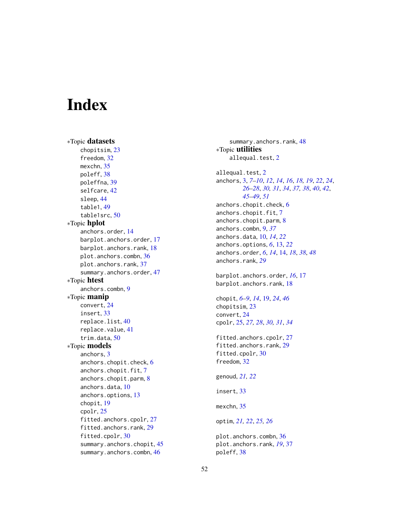# <span id="page-51-0"></span>**Index**

∗Topic datasets chopitsim, [23](#page-22-0) freedom, [32](#page-31-0) mexchn, [35](#page-34-0) poleff, [38](#page-37-0) poleffna, [39](#page-38-0) selfcare, [42](#page-41-0) sleep, [44](#page-43-0) table1, [49](#page-48-0) table1src, [50](#page-49-0) ∗Topic hplot anchors.order, [14](#page-13-0) barplot.anchors.order, [17](#page-16-0) barplot.anchors.rank, [18](#page-17-0) plot.anchors.combn, [36](#page-35-0) plot.anchors.rank, [37](#page-36-0) summary.anchors.order, [47](#page-46-0) ∗Topic htest anchors.combn, [9](#page-8-0) ∗Topic manip convert, [24](#page-23-0) insert, [33](#page-32-0) replace.list, [40](#page-39-0) replace.value, [41](#page-40-0) trim.data, [50](#page-49-0) ∗Topic models anchors, [3](#page-2-0) anchors.chopit.check, [6](#page-5-0) anchors.chopit.fit, [7](#page-6-0) anchors.chopit.parm, [8](#page-7-0) anchors.data, [10](#page-9-0) anchors.options, [13](#page-12-0) chopit, [19](#page-18-0) cpolr, [25](#page-24-0) fitted.anchors.cpolr, [27](#page-26-0) fitted.anchors.rank, [29](#page-28-0) fitted.cpolr, [30](#page-29-0) summary.anchors.chopit, [45](#page-44-0) summary.anchors.combn, [46](#page-45-0)

summary.anchors.rank, [48](#page-47-0) ∗Topic utilities allequal.test, [2](#page-1-0) allequal.test, [2](#page-1-0) anchors, [3,](#page-2-0) *[7](#page-6-0)[–10](#page-9-0)*, *[12](#page-11-0)*, *[14](#page-13-0)*, *[16](#page-15-0)*, *[18,](#page-17-0) [19](#page-18-0)*, *[22](#page-21-0)*, *[24](#page-23-0)*, *[26](#page-25-0)[–28](#page-27-0)*, *[30,](#page-29-0) [31](#page-30-0)*, *[34](#page-33-0)*, *[37,](#page-36-0) [38](#page-37-0)*, *[40](#page-39-0)*, *[42](#page-41-0)*, *[45](#page-44-0)[–49](#page-48-0)*, *[51](#page-50-0)* anchors.chopit.check, [6](#page-5-0) anchors.chopit.fit, [7](#page-6-0) anchors.chopit.parm, [8](#page-7-0) anchors.combn, [9,](#page-8-0) *[37](#page-36-0)* anchors.data, [10,](#page-9-0) *[14](#page-13-0)*, *[22](#page-21-0)* anchors.options, *[6](#page-5-0)*, [13,](#page-12-0) *[22](#page-21-0)* anchors.order, *[6](#page-5-0)*, *[14](#page-13-0)*, [14,](#page-13-0) *[18](#page-17-0)*, *[38](#page-37-0)*, *[48](#page-47-0)* anchors.rank, *[29](#page-28-0)* barplot.anchors.order, *[16](#page-15-0)*, [17](#page-16-0) barplot.anchors.rank, [18](#page-17-0) chopit, *[6](#page-5-0)[–9](#page-8-0)*, *[14](#page-13-0)*, [19,](#page-18-0) *[24](#page-23-0)*, *[46](#page-45-0)* chopitsim, [23](#page-22-0) convert, [24](#page-23-0) cpolr, [25,](#page-24-0) *[27,](#page-26-0) [28](#page-27-0)*, *[30,](#page-29-0) [31](#page-30-0)*, *[34](#page-33-0)* fitted.anchors.cpolr, [27](#page-26-0) fitted.anchors.rank, [29](#page-28-0) fitted.cpolr, [30](#page-29-0) freedom, [32](#page-31-0) genoud, *[21,](#page-20-0) [22](#page-21-0)* insert, [33](#page-32-0) mexchn, [35](#page-34-0) optim, *[21,](#page-20-0) [22](#page-21-0)*, *[25,](#page-24-0) [26](#page-25-0)* plot.anchors.combn, [36](#page-35-0) plot.anchors.rank, *[19](#page-18-0)*, [37](#page-36-0) poleff, [38](#page-37-0)